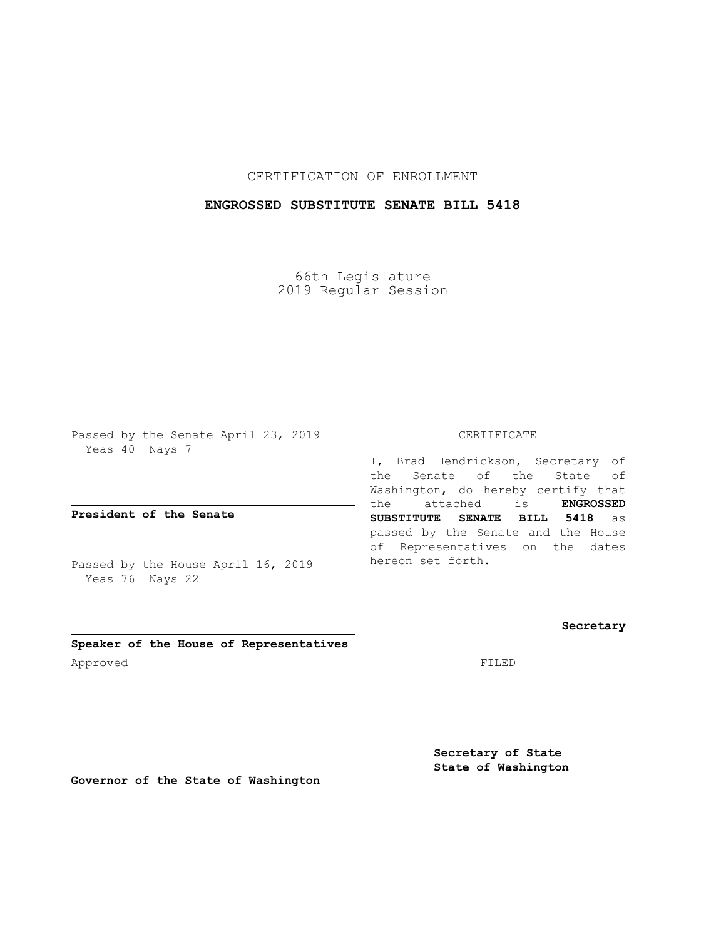CERTIFICATION OF ENROLLMENT

## **ENGROSSED SUBSTITUTE SENATE BILL 5418**

66th Legislature 2019 Regular Session

Passed by the Senate April 23, 2019 Yeas 40 Nays 7

**President of the Senate**

Passed by the House April 16, 2019 Yeas 76 Nays 22

## CERTIFICATE

I, Brad Hendrickson, Secretary of the Senate of the State of Washington, do hereby certify that the attached is **ENGROSSED SUBSTITUTE SENATE BILL 5418** as passed by the Senate and the House of Representatives on the dates hereon set forth.

**Secretary**

**Speaker of the House of Representatives** Approved FILED

**Secretary of State State of Washington**

**Governor of the State of Washington**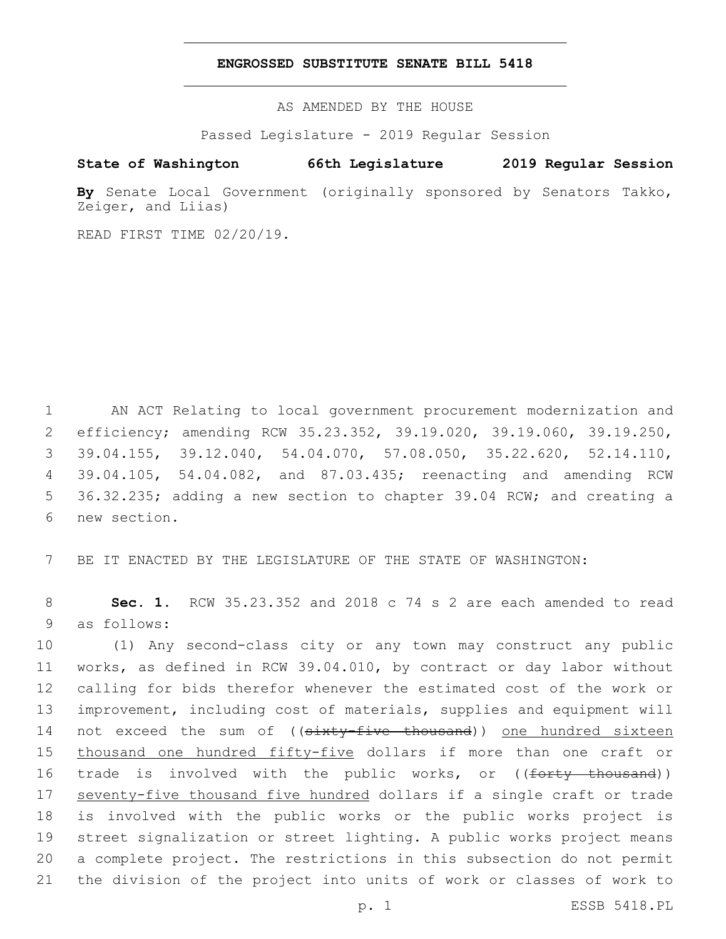## **ENGROSSED SUBSTITUTE SENATE BILL 5418**

AS AMENDED BY THE HOUSE

Passed Legislature - 2019 Regular Session

## **State of Washington 66th Legislature 2019 Regular Session**

**By** Senate Local Government (originally sponsored by Senators Takko, Zeiger, and Liias)

READ FIRST TIME 02/20/19.

 AN ACT Relating to local government procurement modernization and efficiency; amending RCW 35.23.352, 39.19.020, 39.19.060, 39.19.250, 39.04.155, 39.12.040, 54.04.070, 57.08.050, 35.22.620, 52.14.110, 39.04.105, 54.04.082, and 87.03.435; reenacting and amending RCW 36.32.235; adding a new section to chapter 39.04 RCW; and creating a 6 new section.

7 BE IT ENACTED BY THE LEGISLATURE OF THE STATE OF WASHINGTON:

8 **Sec. 1.** RCW 35.23.352 and 2018 c 74 s 2 are each amended to read 9 as follows:

 (1) Any second-class city or any town may construct any public works, as defined in RCW 39.04.010, by contract or day labor without calling for bids therefor whenever the estimated cost of the work or improvement, including cost of materials, supplies and equipment will 14 not exceed the sum of ((sixty-five thousand)) one hundred sixteen 15 thousand one hundred fifty-five dollars if more than one craft or 16 trade is involved with the public works, or ((<del>forty thousand</del>)) 17 seventy-five thousand five hundred dollars if a single craft or trade is involved with the public works or the public works project is street signalization or street lighting. A public works project means a complete project. The restrictions in this subsection do not permit the division of the project into units of work or classes of work to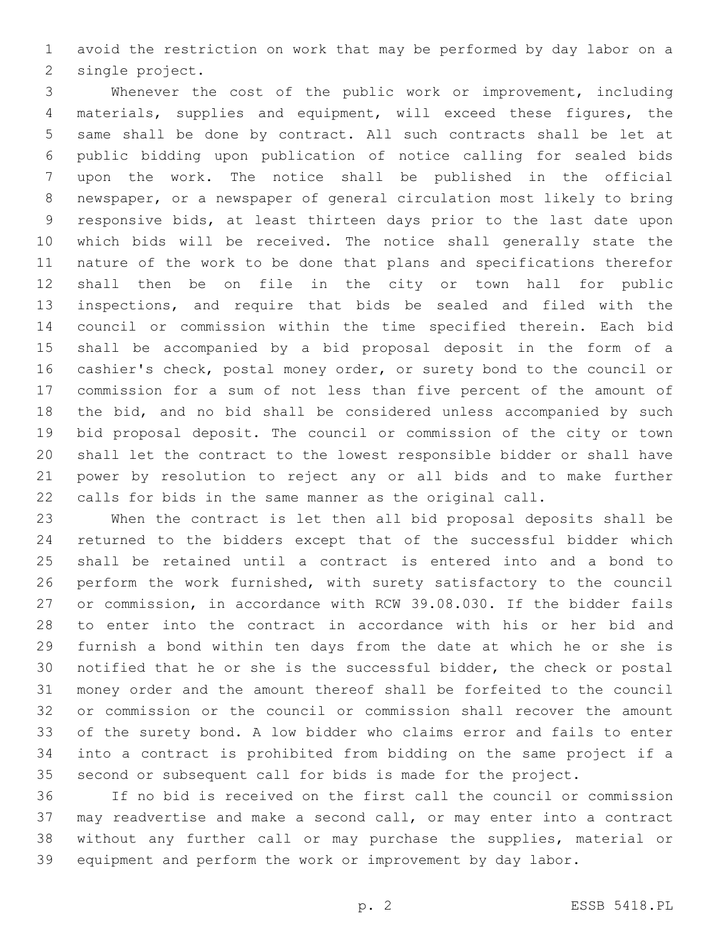avoid the restriction on work that may be performed by day labor on a 2 single project.

 Whenever the cost of the public work or improvement, including materials, supplies and equipment, will exceed these figures, the same shall be done by contract. All such contracts shall be let at public bidding upon publication of notice calling for sealed bids upon the work. The notice shall be published in the official newspaper, or a newspaper of general circulation most likely to bring responsive bids, at least thirteen days prior to the last date upon which bids will be received. The notice shall generally state the nature of the work to be done that plans and specifications therefor shall then be on file in the city or town hall for public inspections, and require that bids be sealed and filed with the council or commission within the time specified therein. Each bid shall be accompanied by a bid proposal deposit in the form of a cashier's check, postal money order, or surety bond to the council or commission for a sum of not less than five percent of the amount of the bid, and no bid shall be considered unless accompanied by such bid proposal deposit. The council or commission of the city or town shall let the contract to the lowest responsible bidder or shall have power by resolution to reject any or all bids and to make further calls for bids in the same manner as the original call.

 When the contract is let then all bid proposal deposits shall be returned to the bidders except that of the successful bidder which shall be retained until a contract is entered into and a bond to perform the work furnished, with surety satisfactory to the council or commission, in accordance with RCW 39.08.030. If the bidder fails to enter into the contract in accordance with his or her bid and furnish a bond within ten days from the date at which he or she is notified that he or she is the successful bidder, the check or postal money order and the amount thereof shall be forfeited to the council or commission or the council or commission shall recover the amount of the surety bond. A low bidder who claims error and fails to enter into a contract is prohibited from bidding on the same project if a second or subsequent call for bids is made for the project.

 If no bid is received on the first call the council or commission may readvertise and make a second call, or may enter into a contract without any further call or may purchase the supplies, material or equipment and perform the work or improvement by day labor.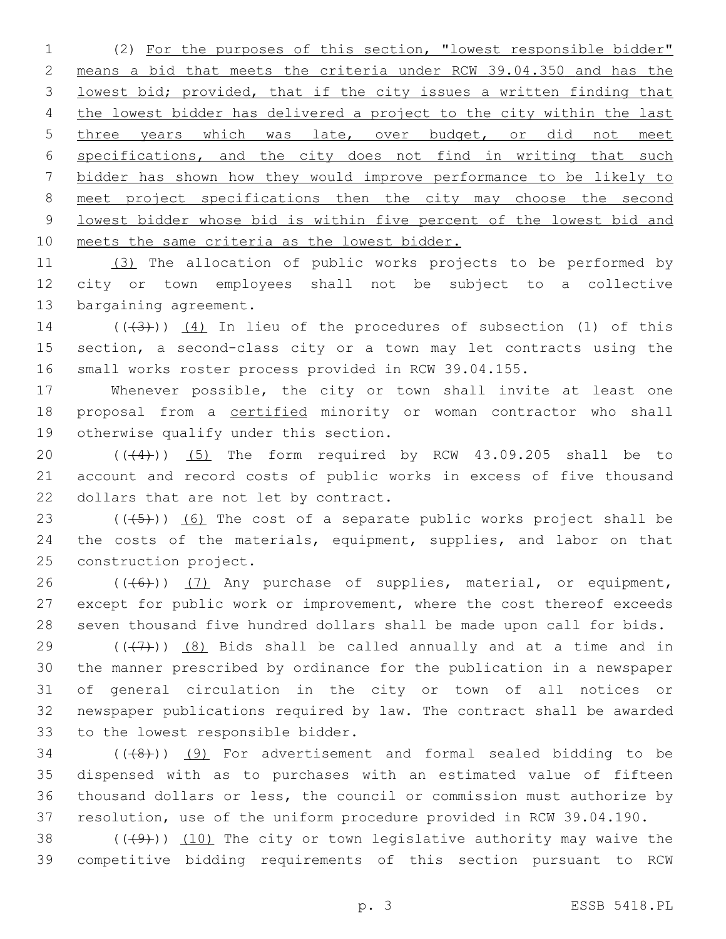(2) For the purposes of this section, "lowest responsible bidder" means a bid that meets the criteria under RCW 39.04.350 and has the lowest bid; provided, that if the city issues a written finding that the lowest bidder has delivered a project to the city within the last 5 three years which was late, over budget, or did not meet specifications, and the city does not find in writing that such bidder has shown how they would improve performance to be likely to meet project specifications then the city may choose the second lowest bidder whose bid is within five percent of the lowest bid and meets the same criteria as the lowest bidder.

 (3) The allocation of public works projects to be performed by city or town employees shall not be subject to a collective 13 bargaining agreement.

14  $((+3+))$   $(4)$  In lieu of the procedures of subsection (1) of this section, a second-class city or a town may let contracts using the small works roster process provided in RCW 39.04.155.

 Whenever possible, the city or town shall invite at least one 18 proposal from a certified minority or woman contractor who shall 19 otherwise qualify under this section.

20  $((44))$   $(5)$  The form required by RCW 43.09.205 shall be to account and record costs of public works in excess of five thousand 22 dollars that are not let by contract.

23  $((+5+))$  (6) The cost of a separate public works project shall be 24 the costs of the materials, equipment, supplies, and labor on that 25 construction project.

26 (((6)) (7) Any purchase of supplies, material, or equipment, except for public work or improvement, where the cost thereof exceeds seven thousand five hundred dollars shall be made upon call for bids.

 $((+7+))$  (8) Bids shall be called annually and at a time and in the manner prescribed by ordinance for the publication in a newspaper of general circulation in the city or town of all notices or newspaper publications required by law. The contract shall be awarded 33 to the lowest responsible bidder.

 ( $(\overline{(+8)})$ ) (9) For advertisement and formal sealed bidding to be dispensed with as to purchases with an estimated value of fifteen thousand dollars or less, the council or commission must authorize by resolution, use of the uniform procedure provided in RCW 39.04.190.

38  $((+9)$ )  $(10)$  The city or town legislative authority may waive the competitive bidding requirements of this section pursuant to RCW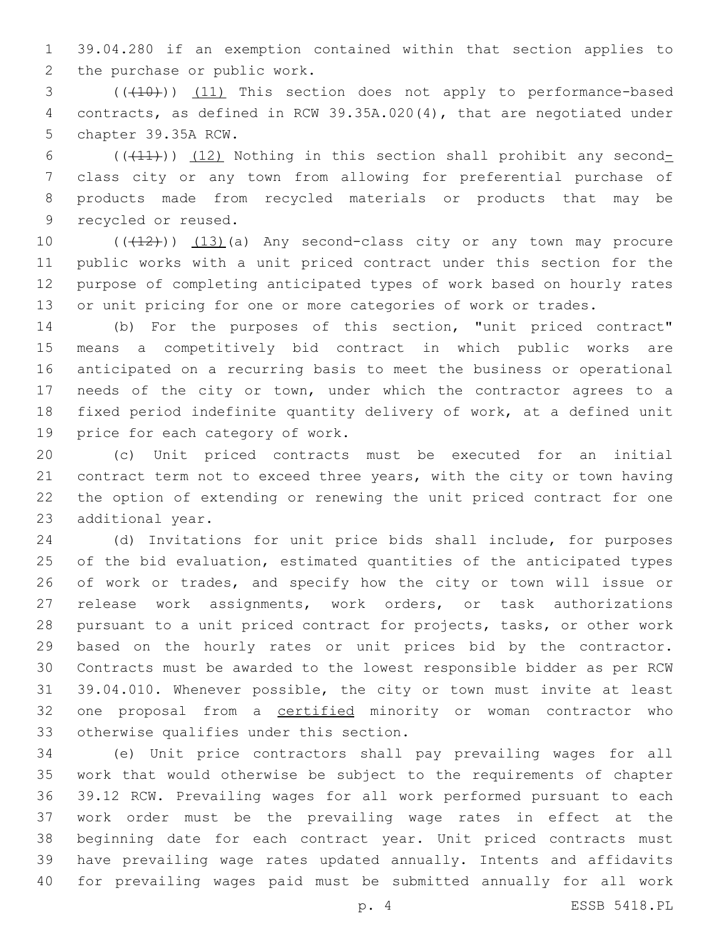39.04.280 if an exemption contained within that section applies to 2 the purchase or public work.

3 (((40))) (11) This section does not apply to performance-based contracts, as defined in RCW 39.35A.020(4), that are negotiated under 5 chapter 39.35A RCW.

 $((+11))$   $(12)$  Nothing in this section shall prohibit any second- class city or any town from allowing for preferential purchase of products made from recycled materials or products that may be 9 recycled or reused.

10 (((12))) (13)(a) Any second-class city or any town may procure public works with a unit priced contract under this section for the purpose of completing anticipated types of work based on hourly rates or unit pricing for one or more categories of work or trades.

 (b) For the purposes of this section, "unit priced contract" means a competitively bid contract in which public works are anticipated on a recurring basis to meet the business or operational needs of the city or town, under which the contractor agrees to a fixed period indefinite quantity delivery of work, at a defined unit 19 price for each category of work.

 (c) Unit priced contracts must be executed for an initial contract term not to exceed three years, with the city or town having the option of extending or renewing the unit priced contract for one 23 additional year.

 (d) Invitations for unit price bids shall include, for purposes of the bid evaluation, estimated quantities of the anticipated types 26 of work or trades, and specify how the city or town will issue or release work assignments, work orders, or task authorizations pursuant to a unit priced contract for projects, tasks, or other work based on the hourly rates or unit prices bid by the contractor. Contracts must be awarded to the lowest responsible bidder as per RCW 39.04.010. Whenever possible, the city or town must invite at least one proposal from a certified minority or woman contractor who 33 otherwise qualifies under this section.

 (e) Unit price contractors shall pay prevailing wages for all work that would otherwise be subject to the requirements of chapter 39.12 RCW. Prevailing wages for all work performed pursuant to each work order must be the prevailing wage rates in effect at the beginning date for each contract year. Unit priced contracts must have prevailing wage rates updated annually. Intents and affidavits for prevailing wages paid must be submitted annually for all work

p. 4 ESSB 5418.PL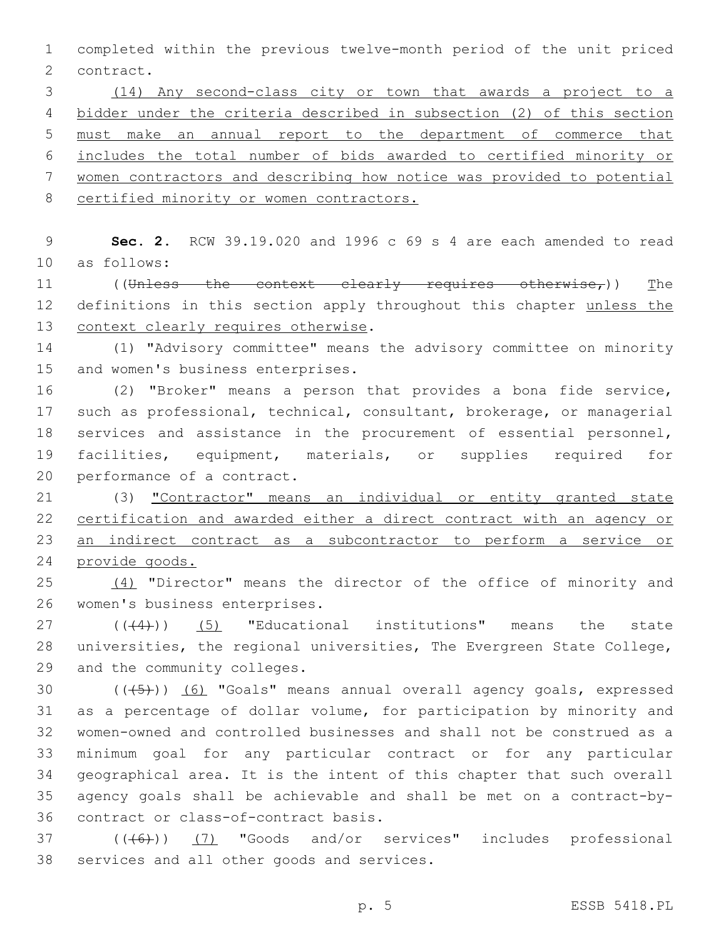completed within the previous twelve-month period of the unit priced 2 contract.

 (14) Any second-class city or town that awards a project to a bidder under the criteria described in subsection (2) of this section must make an annual report to the department of commerce that includes the total number of bids awarded to certified minority or women contractors and describing how notice was provided to potential 8 certified minority or women contractors.

 **Sec. 2.** RCW 39.19.020 and 1996 c 69 s 4 are each amended to read 10 as follows:

11 ((Unless the context clearly requires otherwise,)) The 12 definitions in this section apply throughout this chapter unless the 13 context clearly requires otherwise.

 (1) "Advisory committee" means the advisory committee on minority 15 and women's business enterprises.

 (2) "Broker" means a person that provides a bona fide service, such as professional, technical, consultant, brokerage, or managerial services and assistance in the procurement of essential personnel, facilities, equipment, materials, or supplies required for 20 performance of a contract.

 (3) "Contractor" means an individual or entity granted state certification and awarded either a direct contract with an agency or an indirect contract as a subcontractor to perform a service or provide goods.

 (4) "Director" means the director of the office of minority and 26 women's business enterprises.

 $((44))$  (5) "Educational institutions" means the state universities, the regional universities, The Evergreen State College, 29 and the community colleges.

 $((+5+))$   $(6)$  "Goals" means annual overall agency goals, expressed as a percentage of dollar volume, for participation by minority and women-owned and controlled businesses and shall not be construed as a minimum goal for any particular contract or for any particular geographical area. It is the intent of this chapter that such overall agency goals shall be achievable and shall be met on a contract-by-36 contract or class-of-contract basis.

37 (((46)) (7) "Goods and/or services" includes professional 38 services and all other goods and services.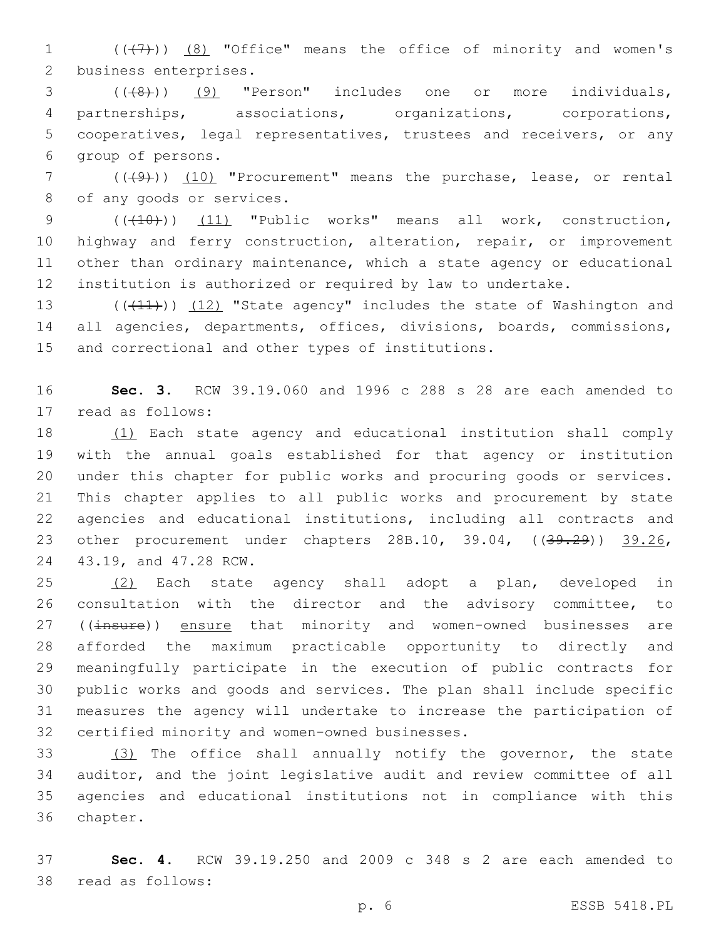1 (((+7)) (8) "Office" means the office of minority and women's 2 business enterprises.

 (((8))) (9) "Person" includes one or more individuals, partnerships, associations, organizations, corporations, cooperatives, legal representatives, trustees and receivers, or any 6 qroup of persons.

7 (((49))) (10) "Procurement" means the purchase, lease, or rental 8 of any goods or services.

9 (( $(10)$ )) (11) "Public works" means all work, construction, highway and ferry construction, alteration, repair, or improvement other than ordinary maintenance, which a state agency or educational institution is authorized or required by law to undertake.

13 (((11))) (12) "State agency" includes the state of Washington and 14 all agencies, departments, offices, divisions, boards, commissions, 15 and correctional and other types of institutions.

16 **Sec. 3.** RCW 39.19.060 and 1996 c 288 s 28 are each amended to 17 read as follows:

 (1) Each state agency and educational institution shall comply with the annual goals established for that agency or institution under this chapter for public works and procuring goods or services. This chapter applies to all public works and procurement by state agencies and educational institutions, including all contracts and 23 other procurement under chapters 28B.10, 39.04, ((<del>39.29</del>)) 39.26, 24 43.19, and 47.28 RCW.

 (2) Each state agency shall adopt a plan, developed in consultation with the director and the advisory committee, to 27 ((insure)) ensure that minority and women-owned businesses are afforded the maximum practicable opportunity to directly and meaningfully participate in the execution of public contracts for public works and goods and services. The plan shall include specific measures the agency will undertake to increase the participation of 32 certified minority and women-owned businesses.

 (3) The office shall annually notify the governor, the state auditor, and the joint legislative audit and review committee of all agencies and educational institutions not in compliance with this 36 chapter.

37 **Sec. 4.** RCW 39.19.250 and 2009 c 348 s 2 are each amended to 38 read as follows: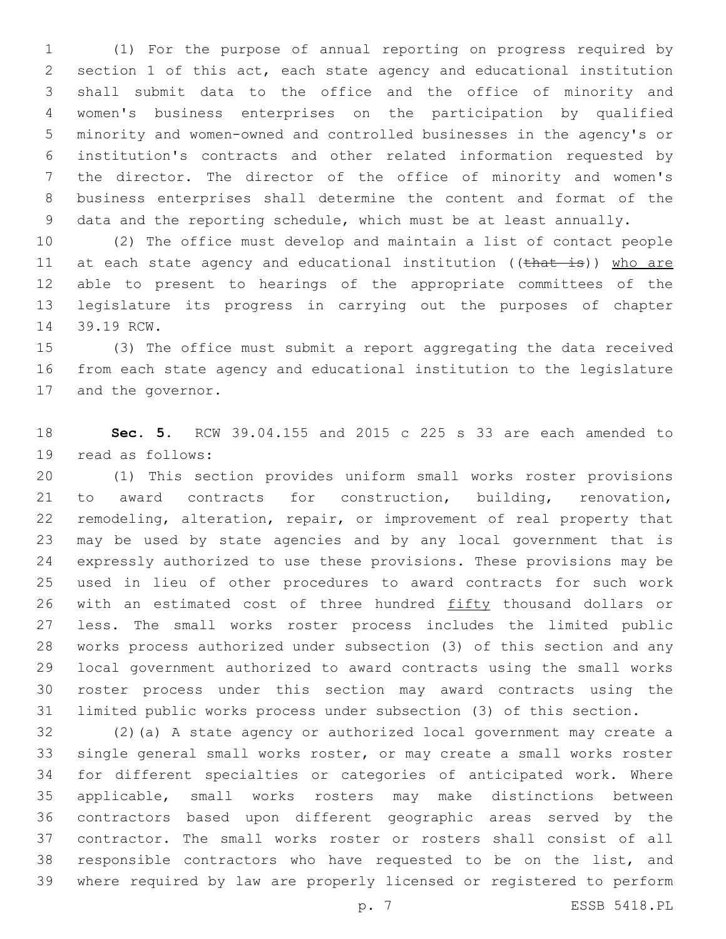(1) For the purpose of annual reporting on progress required by section 1 of this act, each state agency and educational institution shall submit data to the office and the office of minority and women's business enterprises on the participation by qualified minority and women-owned and controlled businesses in the agency's or institution's contracts and other related information requested by the director. The director of the office of minority and women's business enterprises shall determine the content and format of the data and the reporting schedule, which must be at least annually.

 (2) The office must develop and maintain a list of contact people 11 at each state agency and educational institution ((that is)) who are able to present to hearings of the appropriate committees of the legislature its progress in carrying out the purposes of chapter 14 39.19 RCW.

 (3) The office must submit a report aggregating the data received from each state agency and educational institution to the legislature 17 and the governor.

 **Sec. 5.** RCW 39.04.155 and 2015 c 225 s 33 are each amended to 19 read as follows:

 (1) This section provides uniform small works roster provisions to award contracts for construction, building, renovation, remodeling, alteration, repair, or improvement of real property that may be used by state agencies and by any local government that is expressly authorized to use these provisions. These provisions may be used in lieu of other procedures to award contracts for such work 26 with an estimated cost of three hundred fifty thousand dollars or less. The small works roster process includes the limited public works process authorized under subsection (3) of this section and any local government authorized to award contracts using the small works roster process under this section may award contracts using the limited public works process under subsection (3) of this section.

 (2)(a) A state agency or authorized local government may create a single general small works roster, or may create a small works roster for different specialties or categories of anticipated work. Where applicable, small works rosters may make distinctions between contractors based upon different geographic areas served by the contractor. The small works roster or rosters shall consist of all responsible contractors who have requested to be on the list, and where required by law are properly licensed or registered to perform

p. 7 ESSB 5418.PL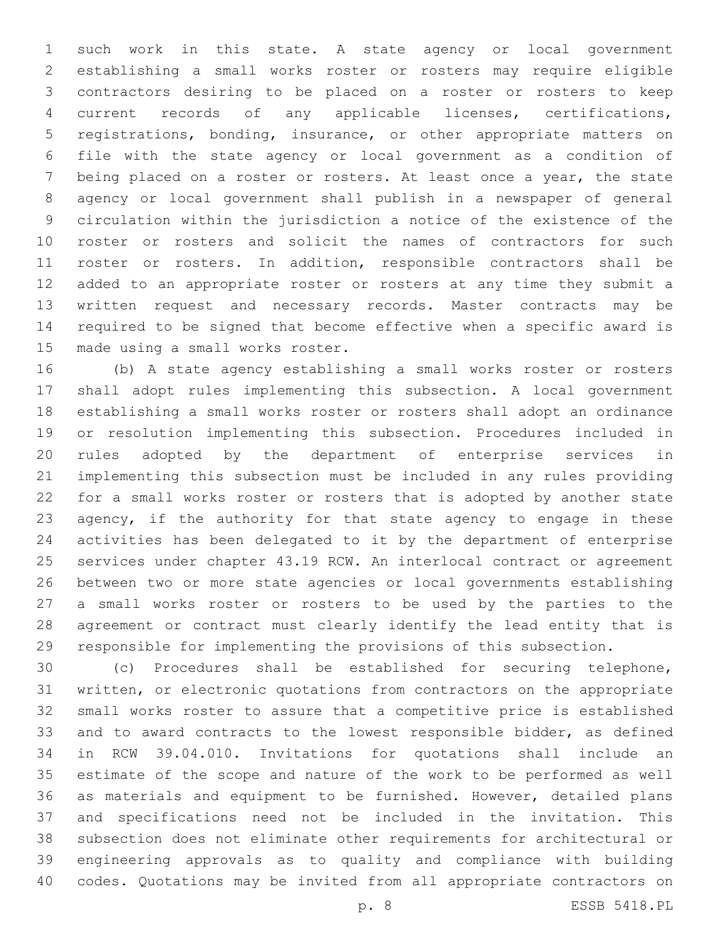such work in this state. A state agency or local government establishing a small works roster or rosters may require eligible contractors desiring to be placed on a roster or rosters to keep current records of any applicable licenses, certifications, registrations, bonding, insurance, or other appropriate matters on file with the state agency or local government as a condition of being placed on a roster or rosters. At least once a year, the state agency or local government shall publish in a newspaper of general circulation within the jurisdiction a notice of the existence of the roster or rosters and solicit the names of contractors for such roster or rosters. In addition, responsible contractors shall be added to an appropriate roster or rosters at any time they submit a written request and necessary records. Master contracts may be required to be signed that become effective when a specific award is 15 made using a small works roster.

 (b) A state agency establishing a small works roster or rosters shall adopt rules implementing this subsection. A local government establishing a small works roster or rosters shall adopt an ordinance or resolution implementing this subsection. Procedures included in rules adopted by the department of enterprise services in implementing this subsection must be included in any rules providing for a small works roster or rosters that is adopted by another state 23 agency, if the authority for that state agency to engage in these activities has been delegated to it by the department of enterprise services under chapter 43.19 RCW. An interlocal contract or agreement between two or more state agencies or local governments establishing a small works roster or rosters to be used by the parties to the agreement or contract must clearly identify the lead entity that is responsible for implementing the provisions of this subsection.

 (c) Procedures shall be established for securing telephone, written, or electronic quotations from contractors on the appropriate small works roster to assure that a competitive price is established and to award contracts to the lowest responsible bidder, as defined in RCW 39.04.010. Invitations for quotations shall include an estimate of the scope and nature of the work to be performed as well as materials and equipment to be furnished. However, detailed plans and specifications need not be included in the invitation. This subsection does not eliminate other requirements for architectural or engineering approvals as to quality and compliance with building codes. Quotations may be invited from all appropriate contractors on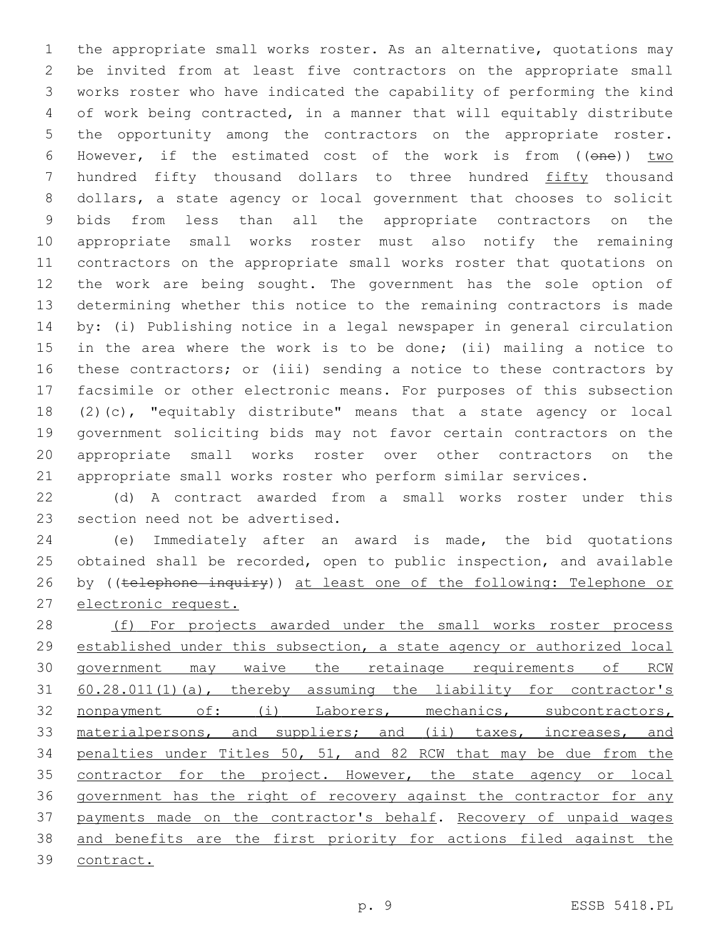the appropriate small works roster. As an alternative, quotations may be invited from at least five contractors on the appropriate small works roster who have indicated the capability of performing the kind of work being contracted, in a manner that will equitably distribute the opportunity among the contractors on the appropriate roster. 6 However, if the estimated cost of the work is from  $((\theta n\theta))$  two hundred fifty thousand dollars to three hundred fifty thousand dollars, a state agency or local government that chooses to solicit bids from less than all the appropriate contractors on the appropriate small works roster must also notify the remaining contractors on the appropriate small works roster that quotations on the work are being sought. The government has the sole option of determining whether this notice to the remaining contractors is made by: (i) Publishing notice in a legal newspaper in general circulation in the area where the work is to be done; (ii) mailing a notice to these contractors; or (iii) sending a notice to these contractors by facsimile or other electronic means. For purposes of this subsection (2)(c), "equitably distribute" means that a state agency or local government soliciting bids may not favor certain contractors on the appropriate small works roster over other contractors on the appropriate small works roster who perform similar services.

 (d) A contract awarded from a small works roster under this 23 section need not be advertised.

 (e) Immediately after an award is made, the bid quotations obtained shall be recorded, open to public inspection, and available 26 by ((telephone inquiry)) at least one of the following: Telephone or electronic request.

28 (f) For projects awarded under the small works roster process established under this subsection, a state agency or authorized local government may waive the retainage requirements of RCW 60.28.011(1)(a), thereby assuming the liability for contractor's nonpayment of: (i) Laborers, mechanics, subcontractors, 33 materialpersons, and suppliers; and (ii) taxes, increases, and penalties under Titles 50, 51, and 82 RCW that may be due from the 35 contractor for the project. However, the state agency or local government has the right of recovery against the contractor for any payments made on the contractor's behalf. Recovery of unpaid wages and benefits are the first priority for actions filed against the contract.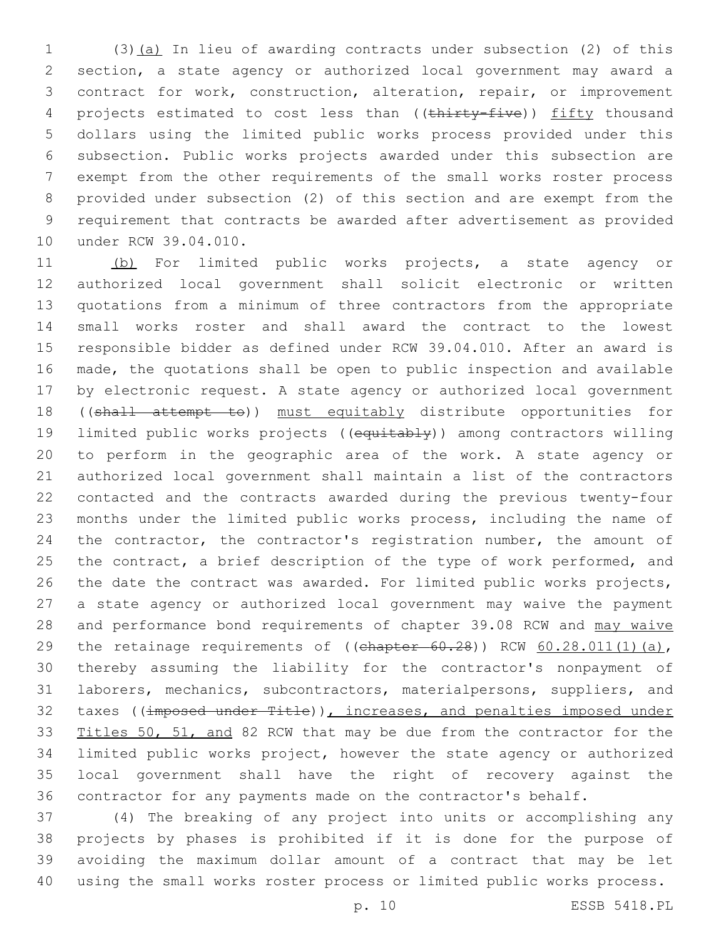(3)(a) In lieu of awarding contracts under subsection (2) of this section, a state agency or authorized local government may award a contract for work, construction, alteration, repair, or improvement 4 projects estimated to cost less than ((thirty-five)) fifty thousand dollars using the limited public works process provided under this subsection. Public works projects awarded under this subsection are exempt from the other requirements of the small works roster process provided under subsection (2) of this section and are exempt from the requirement that contracts be awarded after advertisement as provided 10 under RCW 39.04.010.

 (b) For limited public works projects, a state agency or authorized local government shall solicit electronic or written quotations from a minimum of three contractors from the appropriate small works roster and shall award the contract to the lowest responsible bidder as defined under RCW 39.04.010. After an award is made, the quotations shall be open to public inspection and available by electronic request. A state agency or authorized local government ((shall attempt to)) must equitably distribute opportunities for limited public works projects ((equitably)) among contractors willing to perform in the geographic area of the work. A state agency or authorized local government shall maintain a list of the contractors contacted and the contracts awarded during the previous twenty-four months under the limited public works process, including the name of 24 the contractor, the contractor's registration number, the amount of 25 the contract, a brief description of the type of work performed, and the date the contract was awarded. For limited public works projects, a state agency or authorized local government may waive the payment 28 and performance bond requirements of chapter 39.08 RCW and may waive 29 the retainage requirements of  $((ehapter 60.28))$  RCW  $60.28.011(1)(a)$ , thereby assuming the liability for the contractor's nonpayment of laborers, mechanics, subcontractors, materialpersons, suppliers, and 32 taxes ((imposed under Title)), increases, and penalties imposed under 33 Titles 50, 51, and 82 RCW that may be due from the contractor for the limited public works project, however the state agency or authorized local government shall have the right of recovery against the contractor for any payments made on the contractor's behalf.

 (4) The breaking of any project into units or accomplishing any projects by phases is prohibited if it is done for the purpose of avoiding the maximum dollar amount of a contract that may be let using the small works roster process or limited public works process.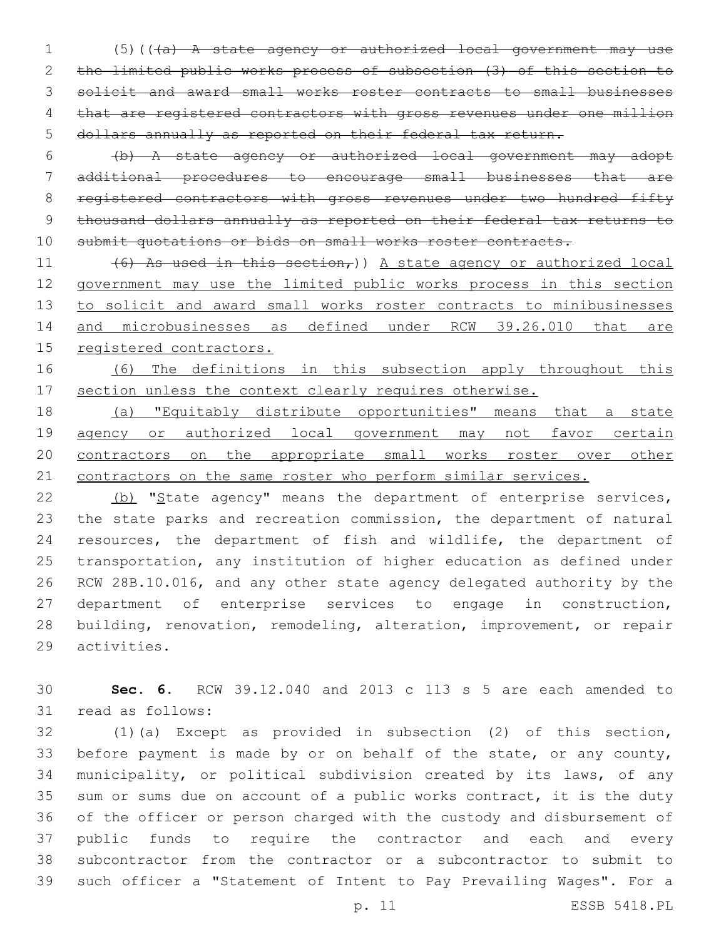(5)(((a) A state agency or authorized local government may use the limited public works process of subsection (3) of this section to solicit and award small works roster contracts to small businesses that are registered contractors with gross revenues under one million dollars annually as reported on their federal tax return.

 (b) A state agency or authorized local government may adopt additional procedures to encourage small businesses that are 8 registered contractors with gross revenues under two hundred fifty thousand dollars annually as reported on their federal tax returns to 10 submit quotations or bids on small works roster contracts.

 $(6)$  As used in this section,)) A state agency or authorized local government may use the limited public works process in this section to solicit and award small works roster contracts to minibusinesses 14 and microbusinesses as defined under RCW 39.26.010 that are registered contractors.

 (6) The definitions in this subsection apply throughout this section unless the context clearly requires otherwise.

 (a) "Equitably distribute opportunities" means that a state 19 agency or authorized local government may not favor certain contractors on the appropriate small works roster over other 21 contractors on the same roster who perform similar services.

22 (b) "State agency" means the department of enterprise services, the state parks and recreation commission, the department of natural resources, the department of fish and wildlife, the department of transportation, any institution of higher education as defined under RCW 28B.10.016, and any other state agency delegated authority by the department of enterprise services to engage in construction, building, renovation, remodeling, alteration, improvement, or repair 29 activities.

 **Sec. 6.** RCW 39.12.040 and 2013 c 113 s 5 are each amended to 31 read as follows:

 (1)(a) Except as provided in subsection (2) of this section, before payment is made by or on behalf of the state, or any county, municipality, or political subdivision created by its laws, of any sum or sums due on account of a public works contract, it is the duty of the officer or person charged with the custody and disbursement of public funds to require the contractor and each and every subcontractor from the contractor or a subcontractor to submit to such officer a "Statement of Intent to Pay Prevailing Wages". For a

p. 11 ESSB 5418.PL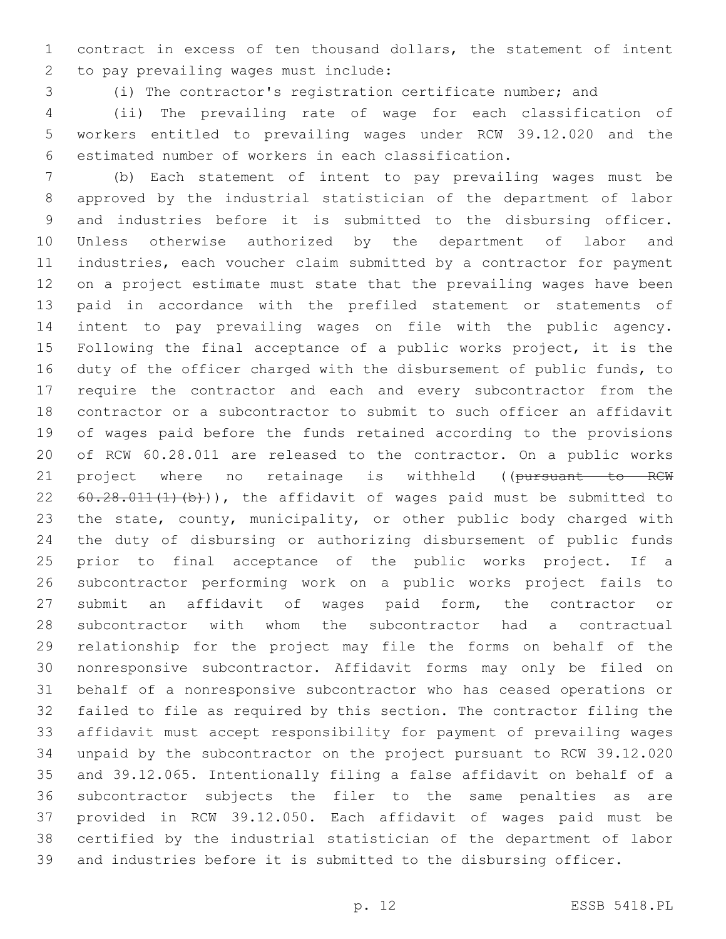contract in excess of ten thousand dollars, the statement of intent 2 to pay prevailing wages must include:

(i) The contractor's registration certificate number; and

 (ii) The prevailing rate of wage for each classification of workers entitled to prevailing wages under RCW 39.12.020 and the estimated number of workers in each classification.

 (b) Each statement of intent to pay prevailing wages must be approved by the industrial statistician of the department of labor and industries before it is submitted to the disbursing officer. Unless otherwise authorized by the department of labor and industries, each voucher claim submitted by a contractor for payment on a project estimate must state that the prevailing wages have been paid in accordance with the prefiled statement or statements of intent to pay prevailing wages on file with the public agency. Following the final acceptance of a public works project, it is the duty of the officer charged with the disbursement of public funds, to require the contractor and each and every subcontractor from the contractor or a subcontractor to submit to such officer an affidavit of wages paid before the funds retained according to the provisions of RCW 60.28.011 are released to the contractor. On a public works 21 project where no retainage is withheld ((pursuant to RCW 22 60.28.011(1)(b)), the affidavit of wages paid must be submitted to 23 the state, county, municipality, or other public body charged with the duty of disbursing or authorizing disbursement of public funds prior to final acceptance of the public works project. If a subcontractor performing work on a public works project fails to submit an affidavit of wages paid form, the contractor or subcontractor with whom the subcontractor had a contractual relationship for the project may file the forms on behalf of the nonresponsive subcontractor. Affidavit forms may only be filed on behalf of a nonresponsive subcontractor who has ceased operations or failed to file as required by this section. The contractor filing the affidavit must accept responsibility for payment of prevailing wages unpaid by the subcontractor on the project pursuant to RCW 39.12.020 and 39.12.065. Intentionally filing a false affidavit on behalf of a subcontractor subjects the filer to the same penalties as are provided in RCW 39.12.050. Each affidavit of wages paid must be certified by the industrial statistician of the department of labor and industries before it is submitted to the disbursing officer.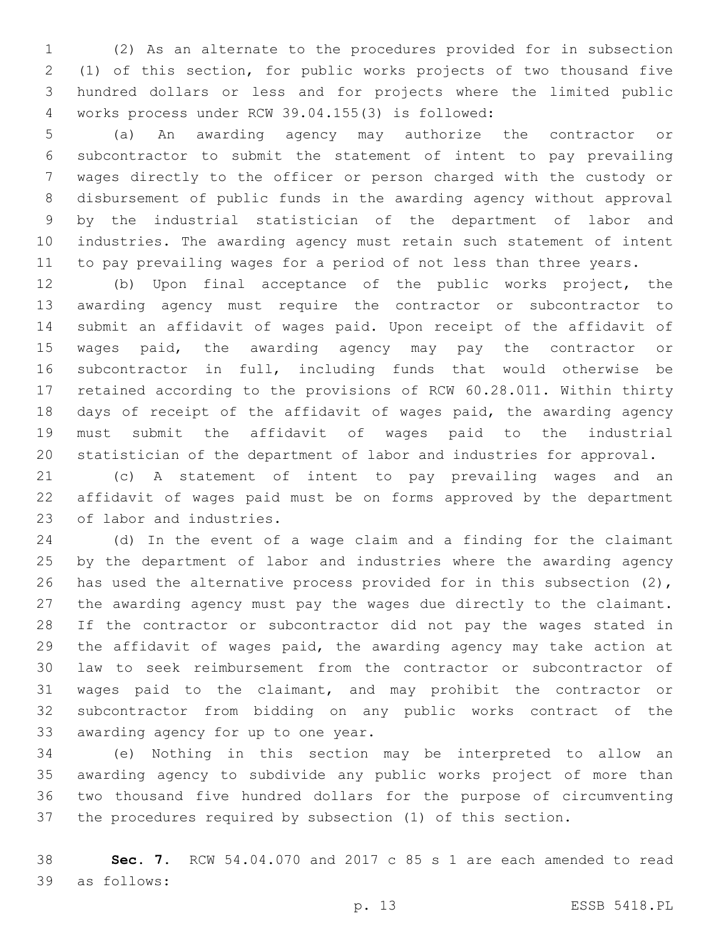(2) As an alternate to the procedures provided for in subsection (1) of this section, for public works projects of two thousand five hundred dollars or less and for projects where the limited public works process under RCW 39.04.155(3) is followed:4

 (a) An awarding agency may authorize the contractor or subcontractor to submit the statement of intent to pay prevailing wages directly to the officer or person charged with the custody or disbursement of public funds in the awarding agency without approval by the industrial statistician of the department of labor and industries. The awarding agency must retain such statement of intent 11 to pay prevailing wages for a period of not less than three years.

 (b) Upon final acceptance of the public works project, the awarding agency must require the contractor or subcontractor to submit an affidavit of wages paid. Upon receipt of the affidavit of wages paid, the awarding agency may pay the contractor or subcontractor in full, including funds that would otherwise be retained according to the provisions of RCW 60.28.011. Within thirty days of receipt of the affidavit of wages paid, the awarding agency must submit the affidavit of wages paid to the industrial statistician of the department of labor and industries for approval.

 (c) A statement of intent to pay prevailing wages and an affidavit of wages paid must be on forms approved by the department 23 of labor and industries.

 (d) In the event of a wage claim and a finding for the claimant by the department of labor and industries where the awarding agency 26 has used the alternative process provided for in this subsection (2), the awarding agency must pay the wages due directly to the claimant. If the contractor or subcontractor did not pay the wages stated in the affidavit of wages paid, the awarding agency may take action at law to seek reimbursement from the contractor or subcontractor of wages paid to the claimant, and may prohibit the contractor or subcontractor from bidding on any public works contract of the 33 awarding agency for up to one year.

 (e) Nothing in this section may be interpreted to allow an awarding agency to subdivide any public works project of more than two thousand five hundred dollars for the purpose of circumventing the procedures required by subsection (1) of this section.

 **Sec. 7.** RCW 54.04.070 and 2017 c 85 s 1 are each amended to read as follows:39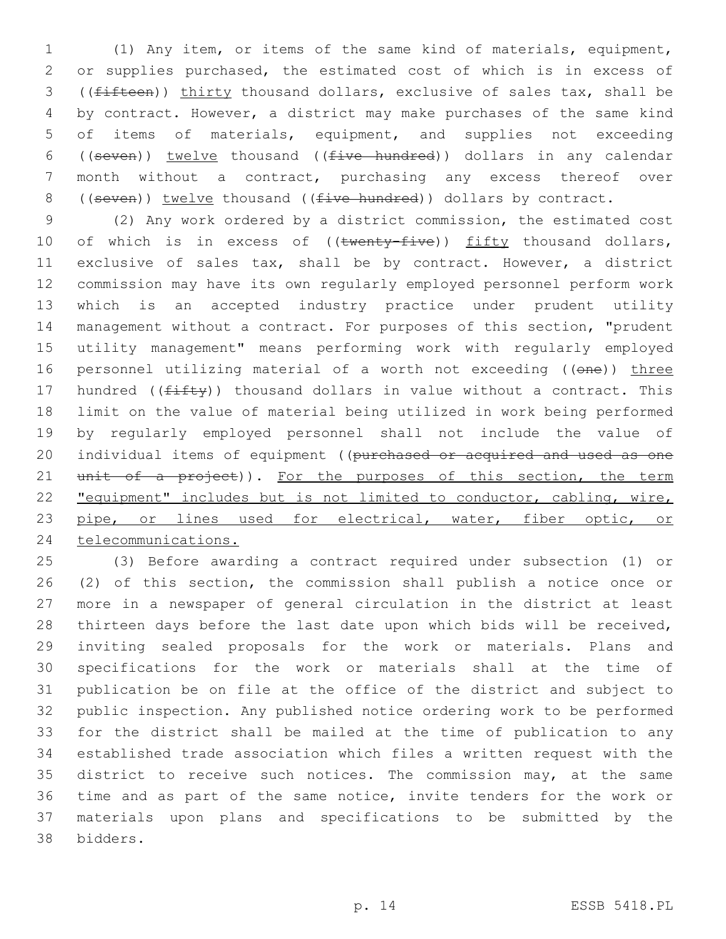(1) Any item, or items of the same kind of materials, equipment, or supplies purchased, the estimated cost of which is in excess of ((fifteen)) thirty thousand dollars, exclusive of sales tax, shall be by contract. However, a district may make purchases of the same kind of items of materials, equipment, and supplies not exceeding 6 ((seven)) twelve thousand (( $five-hundred$ )) dollars in any calendar month without a contract, purchasing any excess thereof over 8 ((seven)) twelve thousand ((five hundred)) dollars by contract.

 (2) Any work ordered by a district commission, the estimated cost 10 of which is in excess of ((twenty-five)) fifty thousand dollars, exclusive of sales tax, shall be by contract. However, a district commission may have its own regularly employed personnel perform work which is an accepted industry practice under prudent utility management without a contract. For purposes of this section, "prudent utility management" means performing work with regularly employed 16 personnel utilizing material of a worth not exceeding ((one)) three 17 hundred ( $(fiff(y))$  thousand dollars in value without a contract. This limit on the value of material being utilized in work being performed by regularly employed personnel shall not include the value of 20 individual items of equipment ((purchased or acquired and used as one 21 unit of a project)). For the purposes of this section, the term "equipment" includes but is not limited to conductor, cabling, wire, 23 pipe, or lines used for electrical, water, fiber optic, or telecommunications.

 (3) Before awarding a contract required under subsection (1) or (2) of this section, the commission shall publish a notice once or more in a newspaper of general circulation in the district at least thirteen days before the last date upon which bids will be received, inviting sealed proposals for the work or materials. Plans and specifications for the work or materials shall at the time of publication be on file at the office of the district and subject to public inspection. Any published notice ordering work to be performed for the district shall be mailed at the time of publication to any established trade association which files a written request with the 35 district to receive such notices. The commission may, at the same time and as part of the same notice, invite tenders for the work or materials upon plans and specifications to be submitted by the bidders.38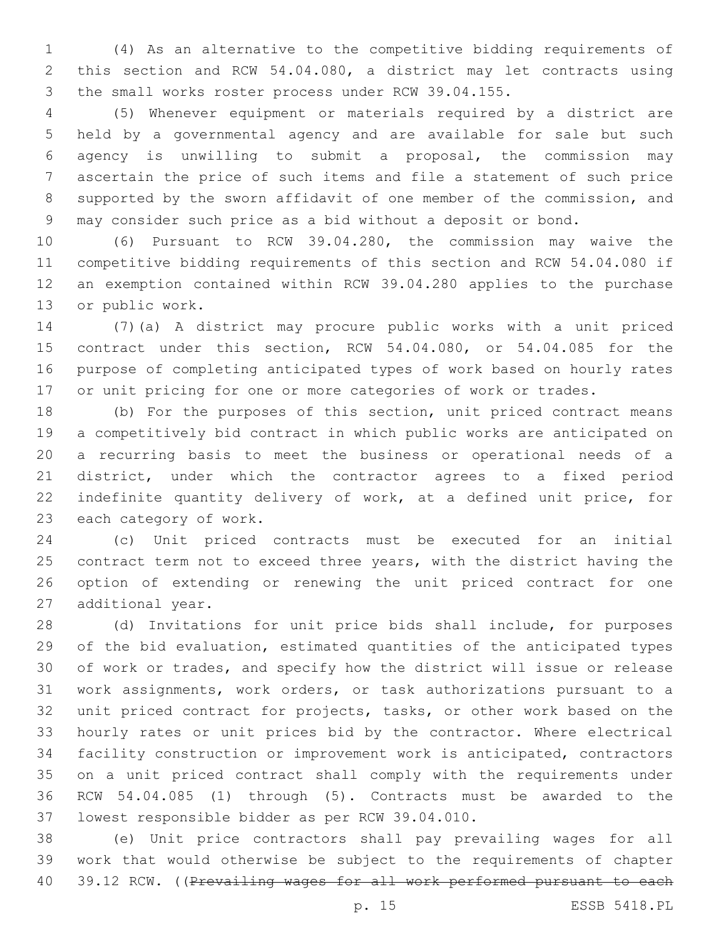(4) As an alternative to the competitive bidding requirements of this section and RCW 54.04.080, a district may let contracts using the small works roster process under RCW 39.04.155.

 (5) Whenever equipment or materials required by a district are held by a governmental agency and are available for sale but such agency is unwilling to submit a proposal, the commission may ascertain the price of such items and file a statement of such price supported by the sworn affidavit of one member of the commission, and may consider such price as a bid without a deposit or bond.

 (6) Pursuant to RCW 39.04.280, the commission may waive the competitive bidding requirements of this section and RCW 54.04.080 if an exemption contained within RCW 39.04.280 applies to the purchase 13 or public work.

 (7)(a) A district may procure public works with a unit priced contract under this section, RCW 54.04.080, or 54.04.085 for the purpose of completing anticipated types of work based on hourly rates or unit pricing for one or more categories of work or trades.

 (b) For the purposes of this section, unit priced contract means a competitively bid contract in which public works are anticipated on a recurring basis to meet the business or operational needs of a district, under which the contractor agrees to a fixed period indefinite quantity delivery of work, at a defined unit price, for 23 each category of work.

 (c) Unit priced contracts must be executed for an initial contract term not to exceed three years, with the district having the option of extending or renewing the unit priced contract for one 27 additional year.

 (d) Invitations for unit price bids shall include, for purposes of the bid evaluation, estimated quantities of the anticipated types of work or trades, and specify how the district will issue or release work assignments, work orders, or task authorizations pursuant to a unit priced contract for projects, tasks, or other work based on the hourly rates or unit prices bid by the contractor. Where electrical facility construction or improvement work is anticipated, contractors on a unit priced contract shall comply with the requirements under RCW 54.04.085 (1) through (5). Contracts must be awarded to the 37 lowest responsible bidder as per RCW 39.04.010.

 (e) Unit price contractors shall pay prevailing wages for all work that would otherwise be subject to the requirements of chapter 40 39.12 RCW. ((Prevailing wages for all work performed pursuant to each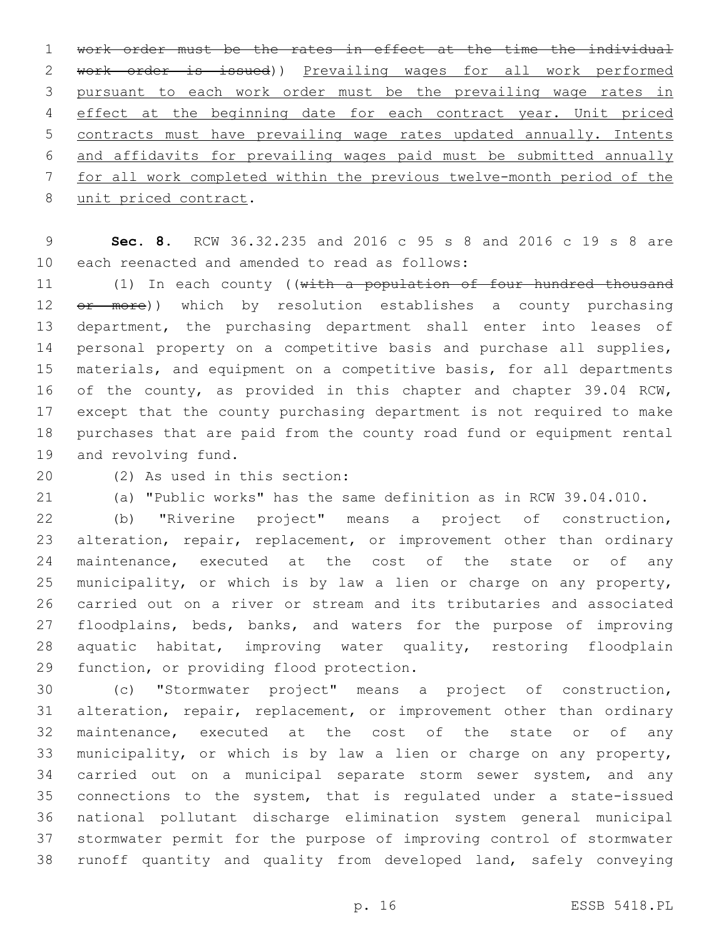work order must be the rates in effect at the time the individual work order is issued)) Prevailing wages for all work performed pursuant to each work order must be the prevailing wage rates in 4 effect at the beginning date for each contract year. Unit priced contracts must have prevailing wage rates updated annually. Intents and affidavits for prevailing wages paid must be submitted annually for all work completed within the previous twelve-month period of the 8 unit priced contract.

 **Sec. 8.** RCW 36.32.235 and 2016 c 95 s 8 and 2016 c 19 s 8 are 10 each reenacted and amended to read as follows:

11 (1) In each county ((with a population of four hundred thousand 12 <del>or more</del>)) which by resolution establishes a county purchasing department, the purchasing department shall enter into leases of personal property on a competitive basis and purchase all supplies, materials, and equipment on a competitive basis, for all departments of the county, as provided in this chapter and chapter 39.04 RCW, except that the county purchasing department is not required to make purchases that are paid from the county road fund or equipment rental 19 and revolving fund.

(2) As used in this section:20

(a) "Public works" has the same definition as in RCW 39.04.010.

 (b) "Riverine project" means a project of construction, alteration, repair, replacement, or improvement other than ordinary 24 maintenance, executed at the cost of the state or of any municipality, or which is by law a lien or charge on any property, carried out on a river or stream and its tributaries and associated floodplains, beds, banks, and waters for the purpose of improving aquatic habitat, improving water quality, restoring floodplain 29 function, or providing flood protection.

 (c) "Stormwater project" means a project of construction, alteration, repair, replacement, or improvement other than ordinary maintenance, executed at the cost of the state or of any municipality, or which is by law a lien or charge on any property, carried out on a municipal separate storm sewer system, and any connections to the system, that is regulated under a state-issued national pollutant discharge elimination system general municipal stormwater permit for the purpose of improving control of stormwater runoff quantity and quality from developed land, safely conveying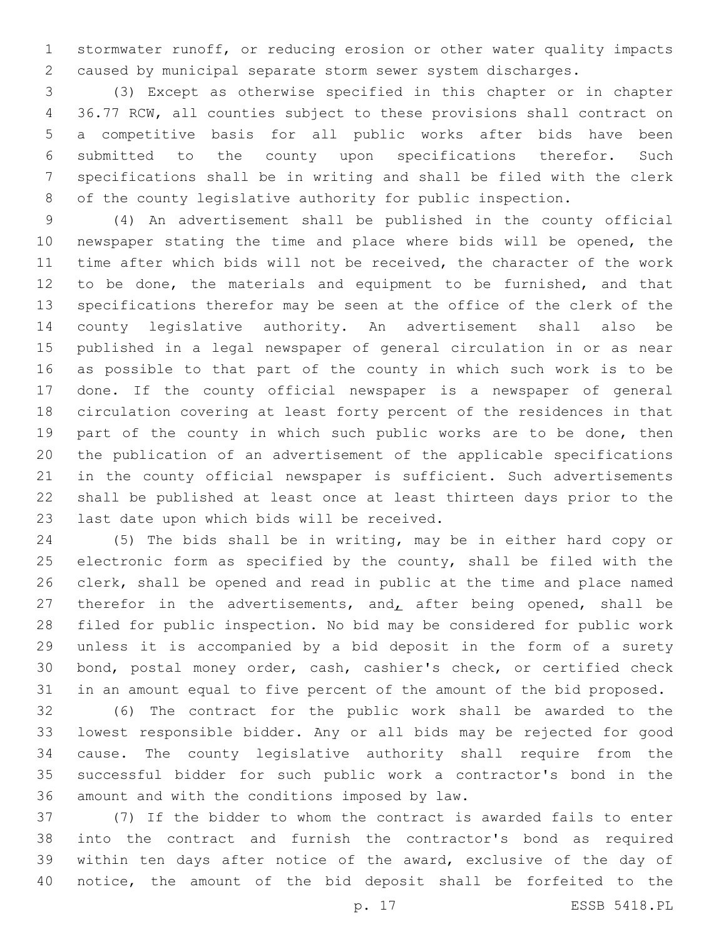stormwater runoff, or reducing erosion or other water quality impacts caused by municipal separate storm sewer system discharges.

 (3) Except as otherwise specified in this chapter or in chapter 36.77 RCW, all counties subject to these provisions shall contract on a competitive basis for all public works after bids have been submitted to the county upon specifications therefor. Such specifications shall be in writing and shall be filed with the clerk of the county legislative authority for public inspection.

 (4) An advertisement shall be published in the county official newspaper stating the time and place where bids will be opened, the time after which bids will not be received, the character of the work to be done, the materials and equipment to be furnished, and that specifications therefor may be seen at the office of the clerk of the county legislative authority. An advertisement shall also be published in a legal newspaper of general circulation in or as near as possible to that part of the county in which such work is to be done. If the county official newspaper is a newspaper of general circulation covering at least forty percent of the residences in that part of the county in which such public works are to be done, then the publication of an advertisement of the applicable specifications in the county official newspaper is sufficient. Such advertisements shall be published at least once at least thirteen days prior to the 23 last date upon which bids will be received.

 (5) The bids shall be in writing, may be in either hard copy or 25 electronic form as specified by the county, shall be filed with the clerk, shall be opened and read in public at the time and place named 27 therefor in the advertisements, and, after being opened, shall be filed for public inspection. No bid may be considered for public work unless it is accompanied by a bid deposit in the form of a surety bond, postal money order, cash, cashier's check, or certified check in an amount equal to five percent of the amount of the bid proposed.

 (6) The contract for the public work shall be awarded to the lowest responsible bidder. Any or all bids may be rejected for good cause. The county legislative authority shall require from the successful bidder for such public work a contractor's bond in the 36 amount and with the conditions imposed by law.

 (7) If the bidder to whom the contract is awarded fails to enter into the contract and furnish the contractor's bond as required within ten days after notice of the award, exclusive of the day of notice, the amount of the bid deposit shall be forfeited to the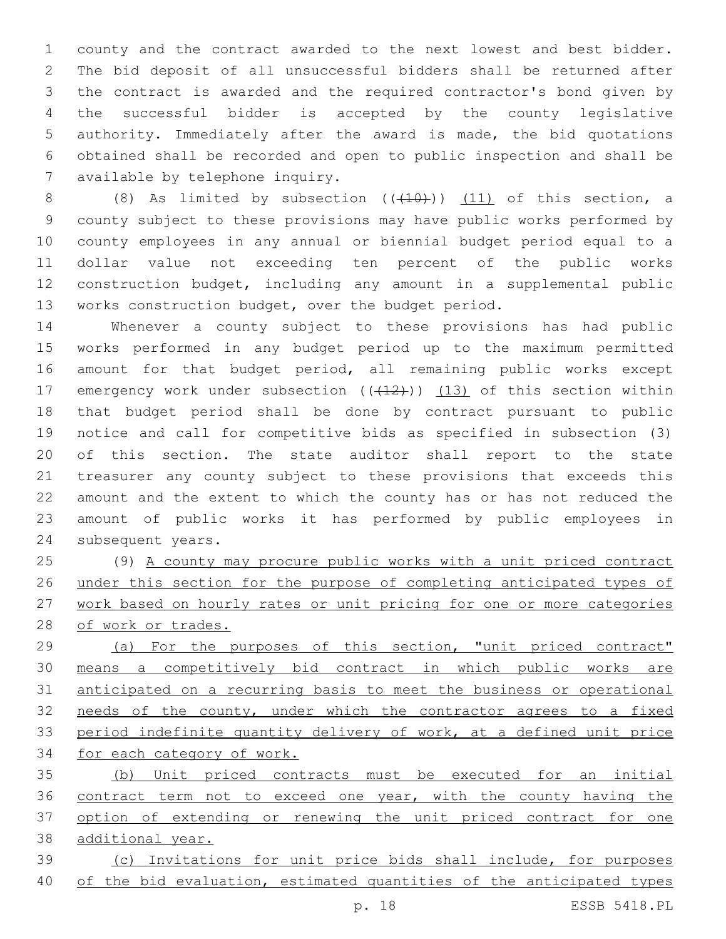county and the contract awarded to the next lowest and best bidder. The bid deposit of all unsuccessful bidders shall be returned after the contract is awarded and the required contractor's bond given by the successful bidder is accepted by the county legislative authority. Immediately after the award is made, the bid quotations obtained shall be recorded and open to public inspection and shall be 7 available by telephone inquiry.

8 (8) As limited by subsection  $((+10))$   $(11)$  of this section, a county subject to these provisions may have public works performed by county employees in any annual or biennial budget period equal to a dollar value not exceeding ten percent of the public works construction budget, including any amount in a supplemental public works construction budget, over the budget period.

 Whenever a county subject to these provisions has had public works performed in any budget period up to the maximum permitted amount for that budget period, all remaining public works except 17 emergency work under subsection  $((+12))$   $(13)$  of this section within that budget period shall be done by contract pursuant to public notice and call for competitive bids as specified in subsection (3) of this section. The state auditor shall report to the state treasurer any county subject to these provisions that exceeds this amount and the extent to which the county has or has not reduced the amount of public works it has performed by public employees in 24 subsequent years.

 (9) A county may procure public works with a unit priced contract under this section for the purpose of completing anticipated types of work based on hourly rates or unit pricing for one or more categories of work or trades.

 (a) For the purposes of this section, "unit priced contract" means a competitively bid contract in which public works are anticipated on a recurring basis to meet the business or operational needs of the county, under which the contractor agrees to a fixed 33 period indefinite quantity delivery of work, at a defined unit price for each category of work.

 (b) Unit priced contracts must be executed for an initial contract term not to exceed one year, with the county having the 37 option of extending or renewing the unit priced contract for one additional year.

 (c) Invitations for unit price bids shall include, for purposes of the bid evaluation, estimated quantities of the anticipated types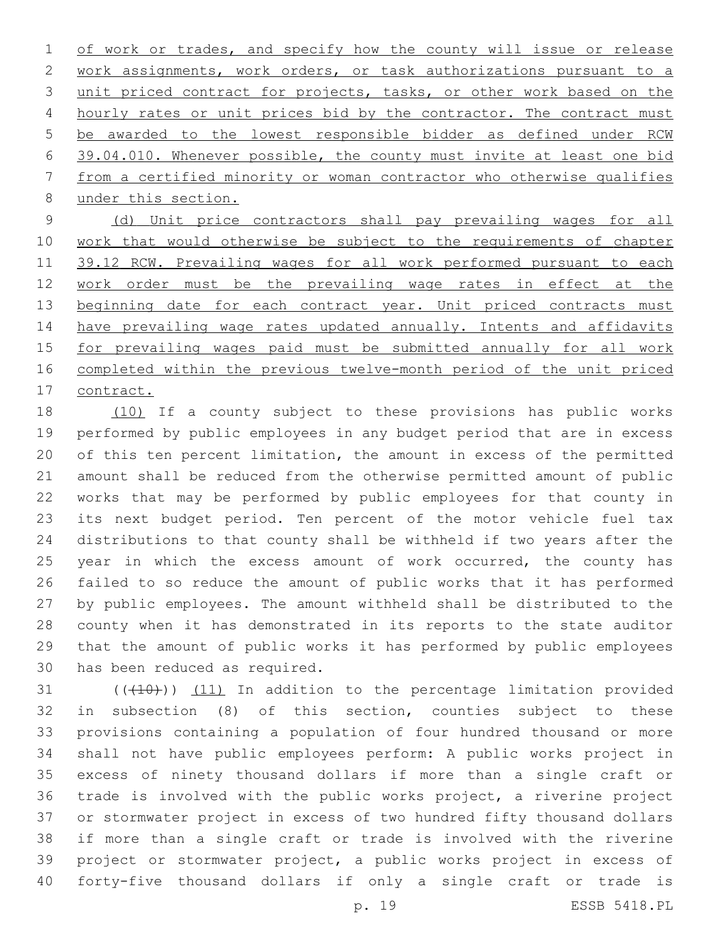1 of work or trades, and specify how the county will issue or release work assignments, work orders, or task authorizations pursuant to a unit priced contract for projects, tasks, or other work based on the 4 hourly rates or unit prices bid by the contractor. The contract must be awarded to the lowest responsible bidder as defined under RCW 39.04.010. Whenever possible, the county must invite at least one bid from a certified minority or woman contractor who otherwise qualifies 8 under this section.

 (d) Unit price contractors shall pay prevailing wages for all work that would otherwise be subject to the requirements of chapter 11 39.12 RCW. Prevailing wages for all work performed pursuant to each 12 work order must be the prevailing wage rates in effect at the 13 beginning date for each contract year. Unit priced contracts must 14 have prevailing wage rates updated annually. Intents and affidavits for prevailing wages paid must be submitted annually for all work completed within the previous twelve-month period of the unit priced contract.

 (10) If a county subject to these provisions has public works performed by public employees in any budget period that are in excess of this ten percent limitation, the amount in excess of the permitted amount shall be reduced from the otherwise permitted amount of public works that may be performed by public employees for that county in its next budget period. Ten percent of the motor vehicle fuel tax distributions to that county shall be withheld if two years after the 25 year in which the excess amount of work occurred, the county has failed to so reduce the amount of public works that it has performed by public employees. The amount withheld shall be distributed to the county when it has demonstrated in its reports to the state auditor that the amount of public works it has performed by public employees 30 has been reduced as required.

 $(110)$  ( $(11)$ ) In addition to the percentage limitation provided in subsection (8) of this section, counties subject to these provisions containing a population of four hundred thousand or more shall not have public employees perform: A public works project in excess of ninety thousand dollars if more than a single craft or trade is involved with the public works project, a riverine project or stormwater project in excess of two hundred fifty thousand dollars if more than a single craft or trade is involved with the riverine project or stormwater project, a public works project in excess of forty-five thousand dollars if only a single craft or trade is

p. 19 ESSB 5418.PL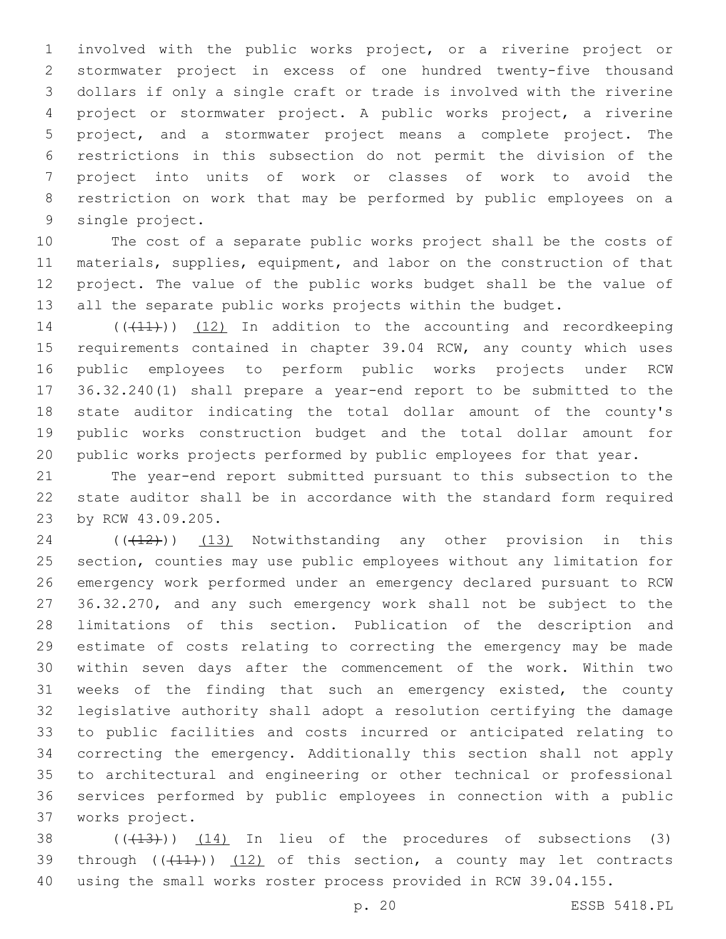involved with the public works project, or a riverine project or stormwater project in excess of one hundred twenty-five thousand dollars if only a single craft or trade is involved with the riverine project or stormwater project. A public works project, a riverine project, and a stormwater project means a complete project. The restrictions in this subsection do not permit the division of the project into units of work or classes of work to avoid the restriction on work that may be performed by public employees on a 9 single project.

 The cost of a separate public works project shall be the costs of materials, supplies, equipment, and labor on the construction of that project. The value of the public works budget shall be the value of all the separate public works projects within the budget.

14 (((11))) (12) In addition to the accounting and recordkeeping 15 requirements contained in chapter 39.04 RCW, any county which uses public employees to perform public works projects under RCW 36.32.240(1) shall prepare a year-end report to be submitted to the state auditor indicating the total dollar amount of the county's public works construction budget and the total dollar amount for public works projects performed by public employees for that year.

 The year-end report submitted pursuant to this subsection to the state auditor shall be in accordance with the standard form required 23 by RCW 43.09.205.

24 (((12)) (13) Notwithstanding any other provision in this section, counties may use public employees without any limitation for emergency work performed under an emergency declared pursuant to RCW 36.32.270, and any such emergency work shall not be subject to the limitations of this section. Publication of the description and estimate of costs relating to correcting the emergency may be made within seven days after the commencement of the work. Within two weeks of the finding that such an emergency existed, the county legislative authority shall adopt a resolution certifying the damage to public facilities and costs incurred or anticipated relating to correcting the emergency. Additionally this section shall not apply to architectural and engineering or other technical or professional services performed by public employees in connection with a public works project.37

 ( $(\overline{+13})$ )  $\underline{14}$  In lieu of the procedures of subsections (3) 39 through  $((+11))$   $(12)$  of this section, a county may let contracts using the small works roster process provided in RCW 39.04.155.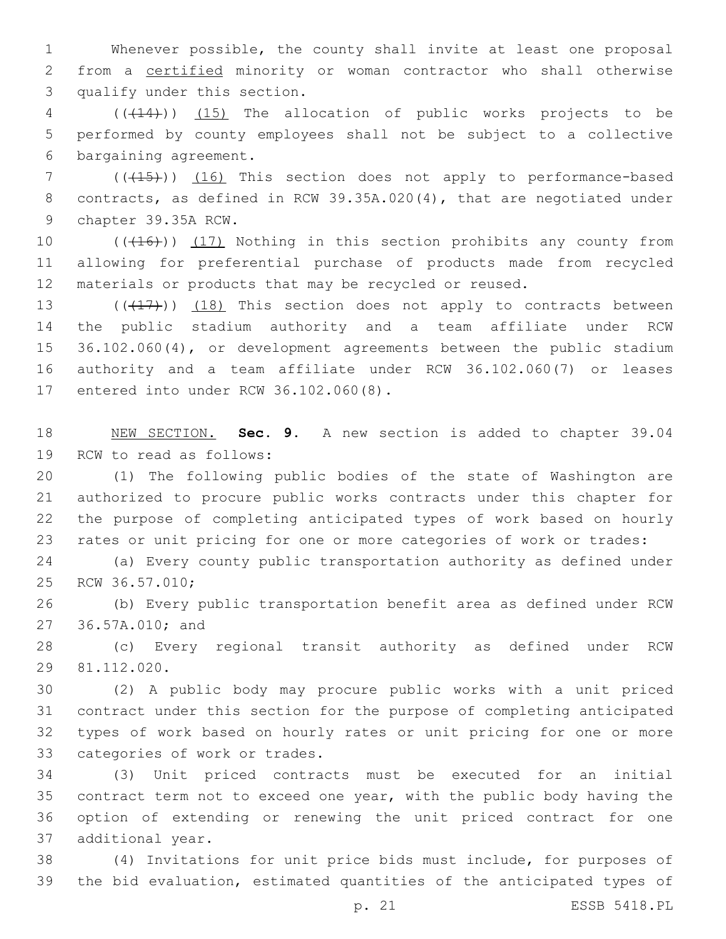Whenever possible, the county shall invite at least one proposal from a certified minority or woman contractor who shall otherwise 3 qualify under this section.

 (((14))) (15) The allocation of public works projects to be performed by county employees shall not be subject to a collective 6 bargaining agreement.

7 (( $(15)$ )) (16) This section does not apply to performance-based contracts, as defined in RCW 39.35A.020(4), that are negotiated under 9 chapter 39.35A RCW.

10 (((16))) (17) Nothing in this section prohibits any county from allowing for preferential purchase of products made from recycled materials or products that may be recycled or reused.

 $((\langle 17 \rangle)(18)$  This section does not apply to contracts between the public stadium authority and a team affiliate under RCW 36.102.060(4), or development agreements between the public stadium authority and a team affiliate under RCW 36.102.060(7) or leases 17 entered into under RCW 36.102.060(8).

 NEW SECTION. **Sec. 9.** A new section is added to chapter 39.04 19 RCW to read as follows:

 (1) The following public bodies of the state of Washington are authorized to procure public works contracts under this chapter for the purpose of completing anticipated types of work based on hourly rates or unit pricing for one or more categories of work or trades:

 (a) Every county public transportation authority as defined under 25 RCW 36.57.010;

 (b) Every public transportation benefit area as defined under RCW 27 36.57A.010; and

 (c) Every regional transit authority as defined under RCW 81.112.020.29

 (2) A public body may procure public works with a unit priced contract under this section for the purpose of completing anticipated types of work based on hourly rates or unit pricing for one or more 33 categories of work or trades.

 (3) Unit priced contracts must be executed for an initial contract term not to exceed one year, with the public body having the option of extending or renewing the unit priced contract for one 37 additional year.

 (4) Invitations for unit price bids must include, for purposes of the bid evaluation, estimated quantities of the anticipated types of

p. 21 ESSB 5418.PL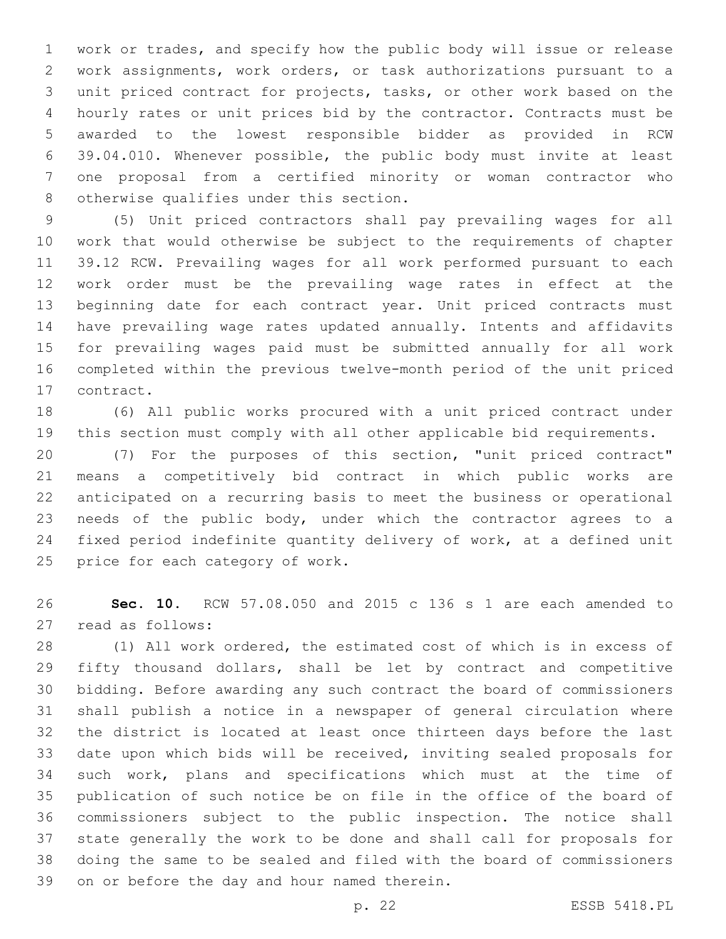work or trades, and specify how the public body will issue or release work assignments, work orders, or task authorizations pursuant to a unit priced contract for projects, tasks, or other work based on the hourly rates or unit prices bid by the contractor. Contracts must be awarded to the lowest responsible bidder as provided in RCW 39.04.010. Whenever possible, the public body must invite at least one proposal from a certified minority or woman contractor who 8 otherwise qualifies under this section.

 (5) Unit priced contractors shall pay prevailing wages for all work that would otherwise be subject to the requirements of chapter 39.12 RCW. Prevailing wages for all work performed pursuant to each work order must be the prevailing wage rates in effect at the beginning date for each contract year. Unit priced contracts must have prevailing wage rates updated annually. Intents and affidavits for prevailing wages paid must be submitted annually for all work completed within the previous twelve-month period of the unit priced 17 contract.

 (6) All public works procured with a unit priced contract under this section must comply with all other applicable bid requirements.

 (7) For the purposes of this section, "unit priced contract" means a competitively bid contract in which public works are anticipated on a recurring basis to meet the business or operational needs of the public body, under which the contractor agrees to a fixed period indefinite quantity delivery of work, at a defined unit 25 price for each category of work.

 **Sec. 10.** RCW 57.08.050 and 2015 c 136 s 1 are each amended to 27 read as follows:

 (1) All work ordered, the estimated cost of which is in excess of 29 fifty thousand dollars, shall be let by contract and competitive bidding. Before awarding any such contract the board of commissioners shall publish a notice in a newspaper of general circulation where the district is located at least once thirteen days before the last date upon which bids will be received, inviting sealed proposals for such work, plans and specifications which must at the time of publication of such notice be on file in the office of the board of commissioners subject to the public inspection. The notice shall state generally the work to be done and shall call for proposals for doing the same to be sealed and filed with the board of commissioners 39 on or before the day and hour named therein.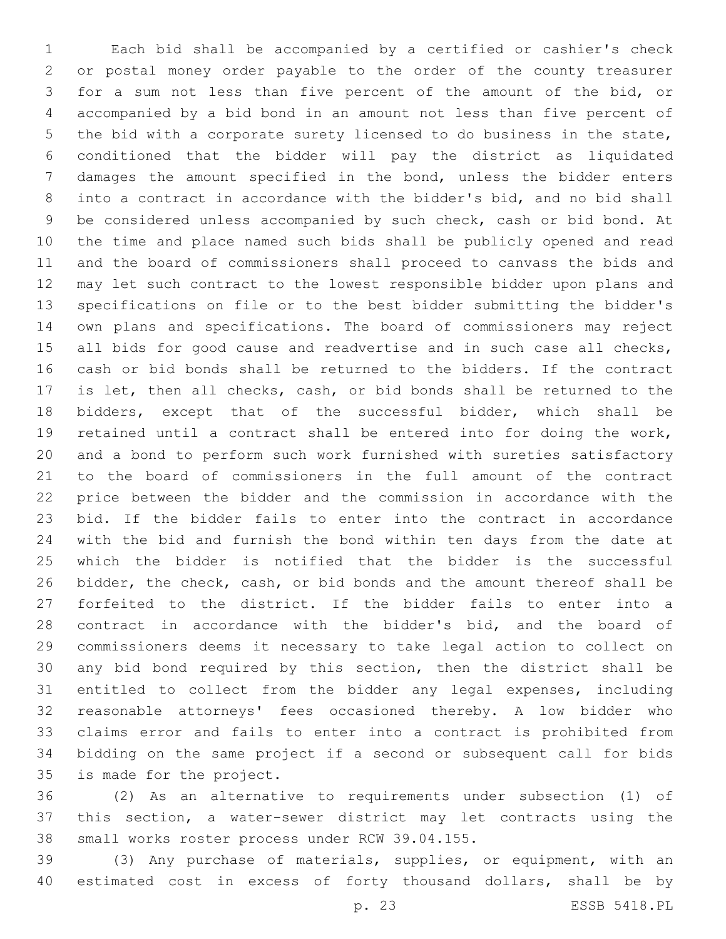Each bid shall be accompanied by a certified or cashier's check or postal money order payable to the order of the county treasurer for a sum not less than five percent of the amount of the bid, or accompanied by a bid bond in an amount not less than five percent of the bid with a corporate surety licensed to do business in the state, conditioned that the bidder will pay the district as liquidated damages the amount specified in the bond, unless the bidder enters into a contract in accordance with the bidder's bid, and no bid shall be considered unless accompanied by such check, cash or bid bond. At the time and place named such bids shall be publicly opened and read and the board of commissioners shall proceed to canvass the bids and may let such contract to the lowest responsible bidder upon plans and specifications on file or to the best bidder submitting the bidder's own plans and specifications. The board of commissioners may reject 15 all bids for good cause and readvertise and in such case all checks, cash or bid bonds shall be returned to the bidders. If the contract is let, then all checks, cash, or bid bonds shall be returned to the bidders, except that of the successful bidder, which shall be retained until a contract shall be entered into for doing the work, and a bond to perform such work furnished with sureties satisfactory to the board of commissioners in the full amount of the contract price between the bidder and the commission in accordance with the bid. If the bidder fails to enter into the contract in accordance with the bid and furnish the bond within ten days from the date at which the bidder is notified that the bidder is the successful bidder, the check, cash, or bid bonds and the amount thereof shall be forfeited to the district. If the bidder fails to enter into a contract in accordance with the bidder's bid, and the board of commissioners deems it necessary to take legal action to collect on any bid bond required by this section, then the district shall be entitled to collect from the bidder any legal expenses, including reasonable attorneys' fees occasioned thereby. A low bidder who claims error and fails to enter into a contract is prohibited from bidding on the same project if a second or subsequent call for bids 35 is made for the project.

 (2) As an alternative to requirements under subsection (1) of this section, a water-sewer district may let contracts using the 38 small works roster process under RCW 39.04.155.

 (3) Any purchase of materials, supplies, or equipment, with an estimated cost in excess of forty thousand dollars, shall be by

p. 23 ESSB 5418.PL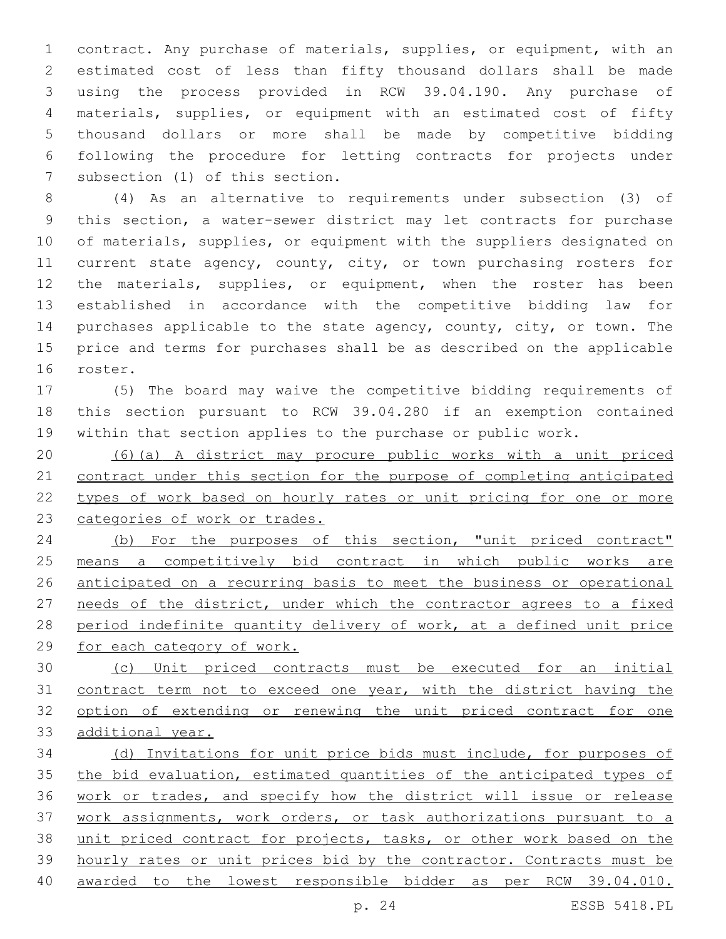contract. Any purchase of materials, supplies, or equipment, with an estimated cost of less than fifty thousand dollars shall be made using the process provided in RCW 39.04.190. Any purchase of materials, supplies, or equipment with an estimated cost of fifty thousand dollars or more shall be made by competitive bidding following the procedure for letting contracts for projects under 7 subsection (1) of this section.

 (4) As an alternative to requirements under subsection (3) of this section, a water-sewer district may let contracts for purchase 10 of materials, supplies, or equipment with the suppliers designated on 11 current state agency, county, city, or town purchasing rosters for the materials, supplies, or equipment, when the roster has been established in accordance with the competitive bidding law for 14 purchases applicable to the state agency, county, city, or town. The price and terms for purchases shall be as described on the applicable 16 roster.

 (5) The board may waive the competitive bidding requirements of this section pursuant to RCW 39.04.280 if an exemption contained within that section applies to the purchase or public work.

 (6)(a) A district may procure public works with a unit priced contract under this section for the purpose of completing anticipated types of work based on hourly rates or unit pricing for one or more categories of work or trades.

 (b) For the purposes of this section, "unit priced contract" means a competitively bid contract in which public works are anticipated on a recurring basis to meet the business or operational needs of the district, under which the contractor agrees to a fixed period indefinite quantity delivery of work, at a defined unit price for each category of work.

 (c) Unit priced contracts must be executed for an initial contract term not to exceed one year, with the district having the option of extending or renewing the unit priced contract for one additional year.

 (d) Invitations for unit price bids must include, for purposes of the bid evaluation, estimated quantities of the anticipated types of work or trades, and specify how the district will issue or release work assignments, work orders, or task authorizations pursuant to a unit priced contract for projects, tasks, or other work based on the hourly rates or unit prices bid by the contractor. Contracts must be awarded to the lowest responsible bidder as per RCW 39.04.010.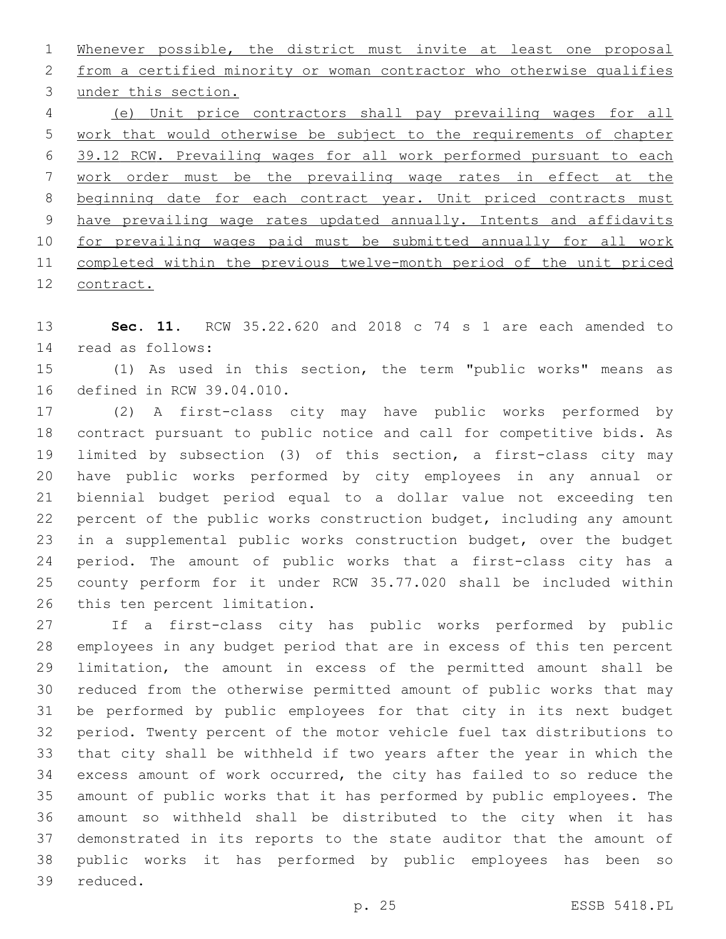Whenever possible, the district must invite at least one proposal from a certified minority or woman contractor who otherwise qualifies 3 under this section. (e) Unit price contractors shall pay prevailing wages for all work that would otherwise be subject to the requirements of chapter 39.12 RCW. Prevailing wages for all work performed pursuant to each work order must be the prevailing wage rates in effect at the 8 beginning date for each contract year. Unit priced contracts must have prevailing wage rates updated annually. Intents and affidavits for prevailing wages paid must be submitted annually for all work completed within the previous twelve-month period of the unit priced contract.

 **Sec. 11.** RCW 35.22.620 and 2018 c 74 s 1 are each amended to 14 read as follows:

 (1) As used in this section, the term "public works" means as 16 defined in RCW 39.04.010.

 (2) A first-class city may have public works performed by contract pursuant to public notice and call for competitive bids. As limited by subsection (3) of this section, a first-class city may have public works performed by city employees in any annual or biennial budget period equal to a dollar value not exceeding ten percent of the public works construction budget, including any amount in a supplemental public works construction budget, over the budget period. The amount of public works that a first-class city has a county perform for it under RCW 35.77.020 shall be included within 26 this ten percent limitation.

 If a first-class city has public works performed by public employees in any budget period that are in excess of this ten percent limitation, the amount in excess of the permitted amount shall be reduced from the otherwise permitted amount of public works that may be performed by public employees for that city in its next budget period. Twenty percent of the motor vehicle fuel tax distributions to that city shall be withheld if two years after the year in which the excess amount of work occurred, the city has failed to so reduce the amount of public works that it has performed by public employees. The amount so withheld shall be distributed to the city when it has demonstrated in its reports to the state auditor that the amount of public works it has performed by public employees has been so 39 reduced.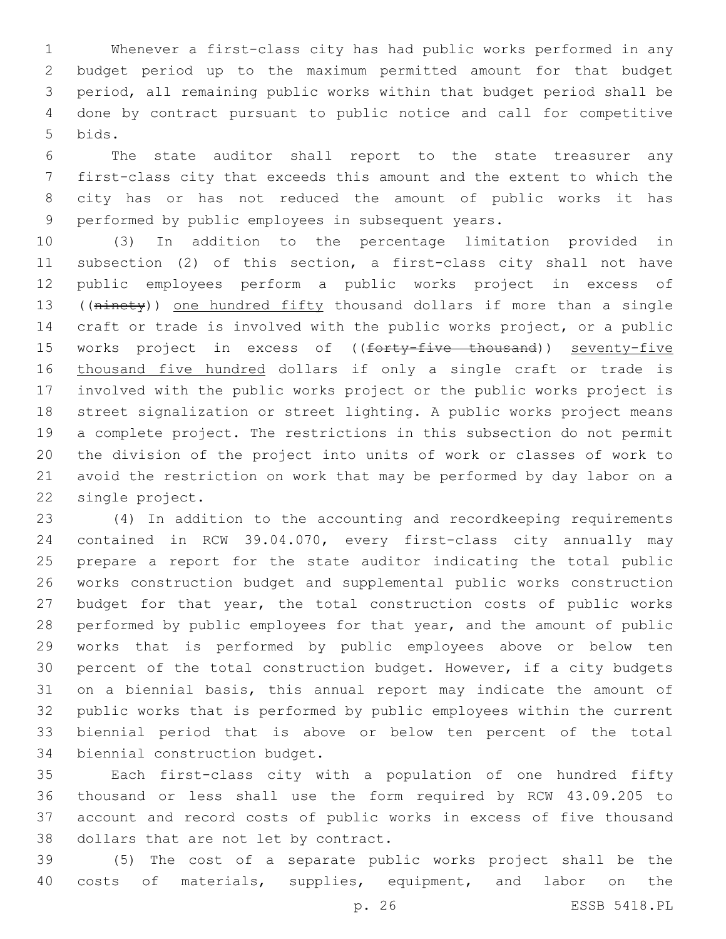Whenever a first-class city has had public works performed in any budget period up to the maximum permitted amount for that budget period, all remaining public works within that budget period shall be done by contract pursuant to public notice and call for competitive 5 bids.

 The state auditor shall report to the state treasurer any first-class city that exceeds this amount and the extent to which the city has or has not reduced the amount of public works it has 9 performed by public employees in subsequent years.

 (3) In addition to the percentage limitation provided in subsection (2) of this section, a first-class city shall not have public employees perform a public works project in excess of ((ninety)) one hundred fifty thousand dollars if more than a single craft or trade is involved with the public works project, or a public 15 works project in excess of ((forty-five thousand)) seventy-five 16 thousand five hundred dollars if only a single craft or trade is involved with the public works project or the public works project is street signalization or street lighting. A public works project means a complete project. The restrictions in this subsection do not permit the division of the project into units of work or classes of work to avoid the restriction on work that may be performed by day labor on a 22 single project.

 (4) In addition to the accounting and recordkeeping requirements contained in RCW 39.04.070, every first-class city annually may prepare a report for the state auditor indicating the total public works construction budget and supplemental public works construction budget for that year, the total construction costs of public works performed by public employees for that year, and the amount of public works that is performed by public employees above or below ten percent of the total construction budget. However, if a city budgets on a biennial basis, this annual report may indicate the amount of public works that is performed by public employees within the current biennial period that is above or below ten percent of the total 34 biennial construction budget.

 Each first-class city with a population of one hundred fifty thousand or less shall use the form required by RCW 43.09.205 to account and record costs of public works in excess of five thousand 38 dollars that are not let by contract.

 (5) The cost of a separate public works project shall be the costs of materials, supplies, equipment, and labor on the

p. 26 ESSB 5418.PL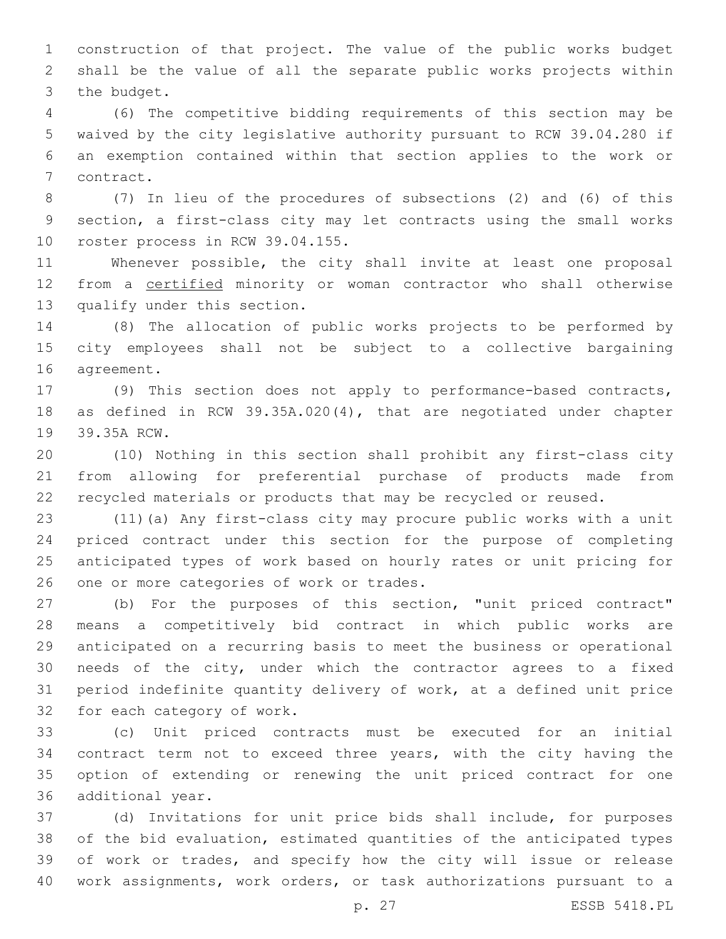construction of that project. The value of the public works budget shall be the value of all the separate public works projects within 3 the budget.

 (6) The competitive bidding requirements of this section may be waived by the city legislative authority pursuant to RCW 39.04.280 if an exemption contained within that section applies to the work or 7 contract.

 (7) In lieu of the procedures of subsections (2) and (6) of this section, a first-class city may let contracts using the small works 10 roster process in RCW 39.04.155.

 Whenever possible, the city shall invite at least one proposal 12 from a certified minority or woman contractor who shall otherwise 13 qualify under this section.

 (8) The allocation of public works projects to be performed by city employees shall not be subject to a collective bargaining 16 agreement.

 (9) This section does not apply to performance-based contracts, as defined in RCW 39.35A.020(4), that are negotiated under chapter 19 39.35A RCW.

 (10) Nothing in this section shall prohibit any first-class city from allowing for preferential purchase of products made from recycled materials or products that may be recycled or reused.

 (11)(a) Any first-class city may procure public works with a unit priced contract under this section for the purpose of completing anticipated types of work based on hourly rates or unit pricing for 26 one or more categories of work or trades.

 (b) For the purposes of this section, "unit priced contract" means a competitively bid contract in which public works are anticipated on a recurring basis to meet the business or operational needs of the city, under which the contractor agrees to a fixed period indefinite quantity delivery of work, at a defined unit price 32 for each category of work.

 (c) Unit priced contracts must be executed for an initial contract term not to exceed three years, with the city having the option of extending or renewing the unit priced contract for one 36 additional year.

 (d) Invitations for unit price bids shall include, for purposes of the bid evaluation, estimated quantities of the anticipated types of work or trades, and specify how the city will issue or release work assignments, work orders, or task authorizations pursuant to a

p. 27 ESSB 5418.PL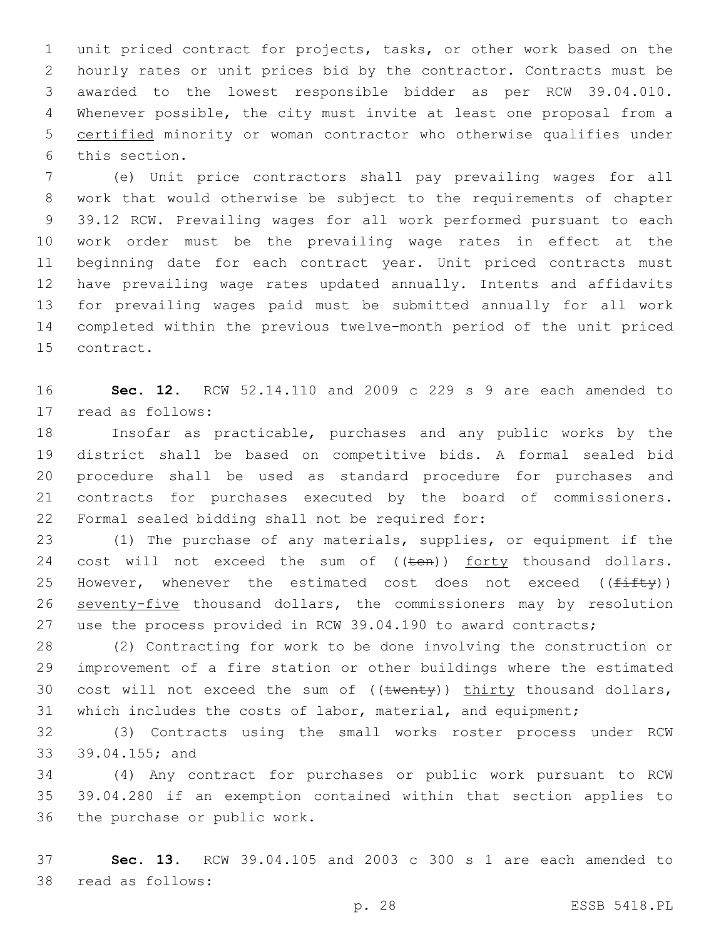unit priced contract for projects, tasks, or other work based on the hourly rates or unit prices bid by the contractor. Contracts must be awarded to the lowest responsible bidder as per RCW 39.04.010. Whenever possible, the city must invite at least one proposal from a certified minority or woman contractor who otherwise qualifies under 6 this section.

 (e) Unit price contractors shall pay prevailing wages for all work that would otherwise be subject to the requirements of chapter 39.12 RCW. Prevailing wages for all work performed pursuant to each work order must be the prevailing wage rates in effect at the beginning date for each contract year. Unit priced contracts must have prevailing wage rates updated annually. Intents and affidavits for prevailing wages paid must be submitted annually for all work completed within the previous twelve-month period of the unit priced 15 contract.

 **Sec. 12.** RCW 52.14.110 and 2009 c 229 s 9 are each amended to 17 read as follows:

 Insofar as practicable, purchases and any public works by the district shall be based on competitive bids. A formal sealed bid procedure shall be used as standard procedure for purchases and contracts for purchases executed by the board of commissioners. 22 Formal sealed bidding shall not be required for:

 (1) The purchase of any materials, supplies, or equipment if the 24 cost will not exceed the sum of ((ten)) forty thousand dollars. 25 However, whenever the estimated cost does not exceed  $(f \pm f t \gamma)$  seventy-five thousand dollars, the commissioners may by resolution 27 use the process provided in RCW 39.04.190 to award contracts;

 (2) Contracting for work to be done involving the construction or improvement of a fire station or other buildings where the estimated 30 cost will not exceed the sum of  $((\text{twenty}))$  thirty thousand dollars, which includes the costs of labor, material, and equipment;

 (3) Contracts using the small works roster process under RCW 33 39.04.155; and

 (4) Any contract for purchases or public work pursuant to RCW 39.04.280 if an exemption contained within that section applies to 36 the purchase or public work.

 **Sec. 13.** RCW 39.04.105 and 2003 c 300 s 1 are each amended to 38 read as follows: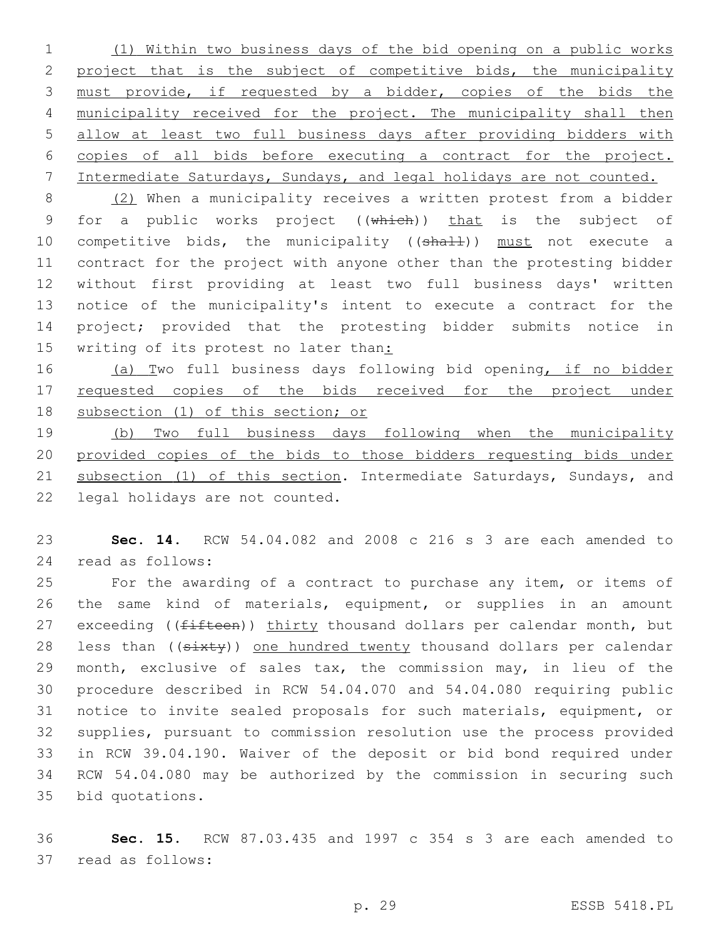(1) Within two business days of the bid opening on a public works project that is the subject of competitive bids, the municipality must provide, if requested by a bidder, copies of the bids the municipality received for the project. The municipality shall then allow at least two full business days after providing bidders with copies of all bids before executing a contract for the project. Intermediate Saturdays, Sundays, and legal holidays are not counted.

 (2) When a municipality receives a written protest from a bidder 9 for a public works project ((which)) that is the subject of 10 competitive bids, the municipality ((shall)) must not execute a contract for the project with anyone other than the protesting bidder without first providing at least two full business days' written notice of the municipality's intent to execute a contract for the project; provided that the protesting bidder submits notice in 15 writing of its protest no later than:

16 (a) Two full business days following bid opening, if no bidder 17 requested copies of the bids received for the project under subsection (1) of this section; or

 (b) Two full business days following when the municipality provided copies of the bids to those bidders requesting bids under 21 subsection (1) of this section. Intermediate Saturdays, Sundays, and 22 legal holidays are not counted.

 **Sec. 14.** RCW 54.04.082 and 2008 c 216 s 3 are each amended to 24 read as follows:

 For the awarding of a contract to purchase any item, or items of the same kind of materials, equipment, or supplies in an amount 27 exceeding ((fifteen)) thirty thousand dollars per calendar month, but 28 less than ((sixty)) one hundred twenty thousand dollars per calendar month, exclusive of sales tax, the commission may, in lieu of the procedure described in RCW 54.04.070 and 54.04.080 requiring public notice to invite sealed proposals for such materials, equipment, or supplies, pursuant to commission resolution use the process provided in RCW 39.04.190. Waiver of the deposit or bid bond required under RCW 54.04.080 may be authorized by the commission in securing such 35 bid quotations.

 **Sec. 15.** RCW 87.03.435 and 1997 c 354 s 3 are each amended to 37 read as follows: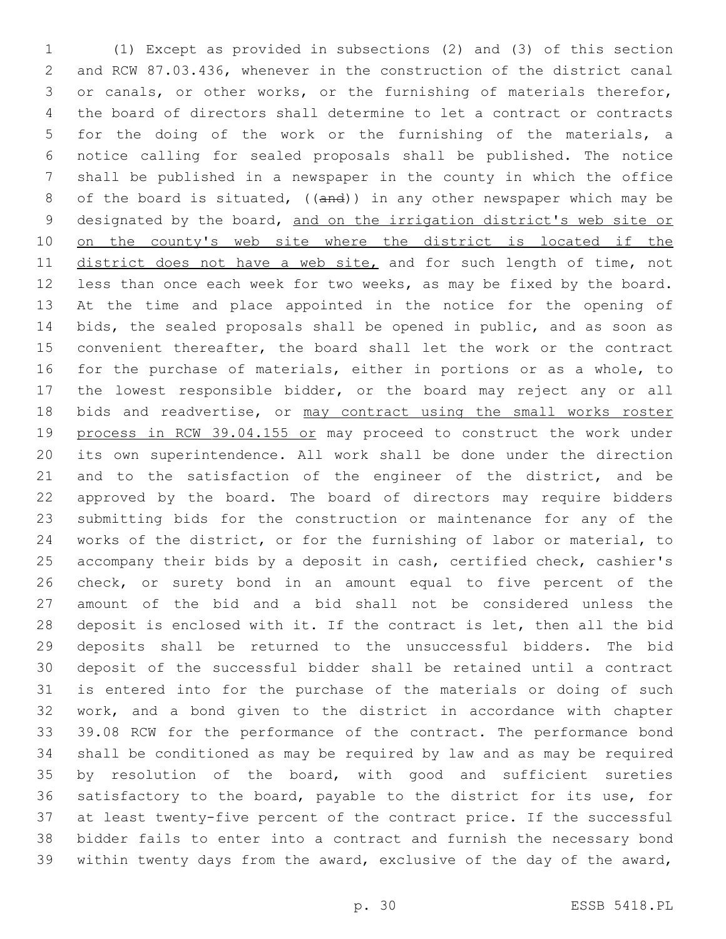(1) Except as provided in subsections (2) and (3) of this section and RCW 87.03.436, whenever in the construction of the district canal or canals, or other works, or the furnishing of materials therefor, the board of directors shall determine to let a contract or contracts for the doing of the work or the furnishing of the materials, a notice calling for sealed proposals shall be published. The notice shall be published in a newspaper in the county in which the office of the board is situated, ((and)) in any other newspaper which may be designated by the board, and on the irrigation district's web site or 10 on the county's web site where the district is located if the 11 district does not have a web site, and for such length of time, not less than once each week for two weeks, as may be fixed by the board. At the time and place appointed in the notice for the opening of bids, the sealed proposals shall be opened in public, and as soon as convenient thereafter, the board shall let the work or the contract for the purchase of materials, either in portions or as a whole, to the lowest responsible bidder, or the board may reject any or all 18 bids and readvertise, or may contract using the small works roster 19 process in RCW 39.04.155 or may proceed to construct the work under its own superintendence. All work shall be done under the direction and to the satisfaction of the engineer of the district, and be approved by the board. The board of directors may require bidders submitting bids for the construction or maintenance for any of the works of the district, or for the furnishing of labor or material, to accompany their bids by a deposit in cash, certified check, cashier's check, or surety bond in an amount equal to five percent of the amount of the bid and a bid shall not be considered unless the deposit is enclosed with it. If the contract is let, then all the bid deposits shall be returned to the unsuccessful bidders. The bid deposit of the successful bidder shall be retained until a contract is entered into for the purchase of the materials or doing of such work, and a bond given to the district in accordance with chapter 39.08 RCW for the performance of the contract. The performance bond shall be conditioned as may be required by law and as may be required by resolution of the board, with good and sufficient sureties satisfactory to the board, payable to the district for its use, for at least twenty-five percent of the contract price. If the successful bidder fails to enter into a contract and furnish the necessary bond within twenty days from the award, exclusive of the day of the award,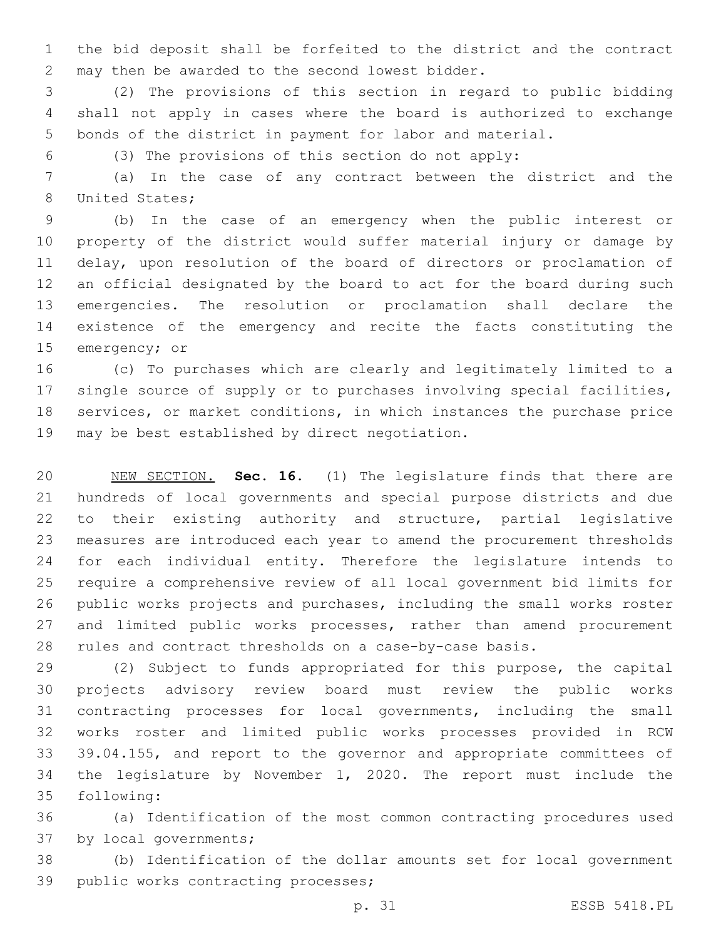the bid deposit shall be forfeited to the district and the contract 2 may then be awarded to the second lowest bidder.

 (2) The provisions of this section in regard to public bidding shall not apply in cases where the board is authorized to exchange bonds of the district in payment for labor and material.

(3) The provisions of this section do not apply:

 (a) In the case of any contract between the district and the 8 United States;

 (b) In the case of an emergency when the public interest or property of the district would suffer material injury or damage by delay, upon resolution of the board of directors or proclamation of an official designated by the board to act for the board during such emergencies. The resolution or proclamation shall declare the existence of the emergency and recite the facts constituting the 15 emergency; or

 (c) To purchases which are clearly and legitimately limited to a single source of supply or to purchases involving special facilities, services, or market conditions, in which instances the purchase price 19 may be best established by direct negotiation.

 NEW SECTION. **Sec. 16.** (1) The legislature finds that there are hundreds of local governments and special purpose districts and due to their existing authority and structure, partial legislative measures are introduced each year to amend the procurement thresholds for each individual entity. Therefore the legislature intends to require a comprehensive review of all local government bid limits for public works projects and purchases, including the small works roster 27 and limited public works processes, rather than amend procurement rules and contract thresholds on a case-by-case basis.

 (2) Subject to funds appropriated for this purpose, the capital projects advisory review board must review the public works contracting processes for local governments, including the small works roster and limited public works processes provided in RCW 39.04.155, and report to the governor and appropriate committees of the legislature by November 1, 2020. The report must include the 35 following:

 (a) Identification of the most common contracting procedures used 37 by local governments;

 (b) Identification of the dollar amounts set for local government 39 public works contracting processes;